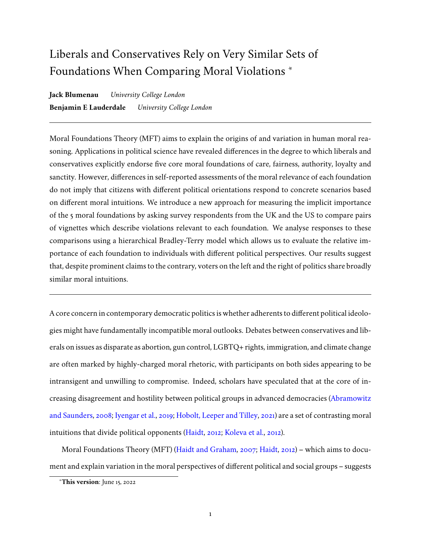# Liberals and Conservatives Rely on Very Similar Sets of Foundations When Comparing Moral Violations <sup>∗</sup>

**Jack Blumenau** *University College London* **Benjamin E Lauderdale** *University College London*

Moral Foundations Theory (MFT) aims to explain the origins of and variation in human moral reasoning. Applications in political science have revealed differences in the degree to which liberals and conservatives explicitly endorse five core moral foundations of care, fairness, authority, loyalty and sanctity. However, differences in self-reported assessments of the moral relevance of each foundation do not imply that citizens with different political orientations respond to concrete scenarios based on different moral intuitions. We introduce a new approach for measuring the implicit importance of the 5 moral foundations by asking survey respondents from the UK and the US to compare pairs of vignettes which describe violations relevant to each foundation. We analyse responses to these comparisons using a hierarchical Bradley-Terry model which allows us to evaluate the relative importance of each foundation to individuals with different political perspectives. Our results suggest that, despite prominent claims to the contrary, voters on the left and the right of politics share broadly similar moral intuitions.

A core concern in contemporary democratic politics is whether adherents to different political ideologies might have fundamentally incompatible moral outlooks. Debates between conservatives and liberals on issues as disparate as abortion, gun control, LGBTQ+ rights, immigration, and climate change are often marked by highly-charged moral rhetoric, with participants on both sides appearing to be intransigent and unwilling to compromise. Indeed, scholars have speculated that at the core of increasing disagreement and hostility between political groups in advanced democracies [\(Abramowitz](#page-42-0) [and Saunders,](#page-42-0) [2008;](#page-42-0) [Iyengar et al.,](#page-44-0) [2019;](#page-44-0) [Hobolt, Leeper and Tilley,](#page-44-1) [2021\)](#page-44-1) are a set of contrasting moral intuitions that divide political opponents [\(Haidt,](#page-43-0) [2012;](#page-43-0) [Koleva et al.,](#page-44-2) [2012\)](#page-44-2).

Moral Foundations Theory (MFT) [\(Haidt and Graham,](#page-43-1) [2007;](#page-43-1) [Haidt,](#page-43-0) [2012\)](#page-43-0) – which aims to document and explain variation in the moral perspectives of different political and social groups – suggests

<sup>∗</sup>**This version**: June 15, 2022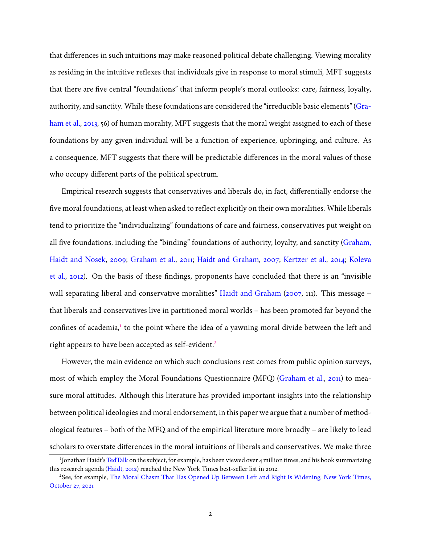that differences in such intuitions may make reasoned political debate challenging. Viewing morality as residing in the intuitive reflexes that individuals give in response to moral stimuli, MFT suggests that there are five central "foundations" that inform people's moral outlooks: care, fairness, loyalty, authority, and sanctity. While these foundations are considered the "irreducible basic elements" [\(Gra](#page-43-2)[ham et al.,](#page-43-2) [2013,](#page-43-2) 56) of human morality, MFT suggests that the moral weight assigned to each of these foundations by any given individual will be a function of experience, upbringing, and culture. As a consequence, MFT suggests that there will be predictable differences in the moral values of those who occupy different parts of the political spectrum.

Empirical research suggests that conservatives and liberals do, in fact, differentially endorse the five moral foundations, at least when asked to reflect explicitly on their own moralities. While liberals tend to prioritize the "individualizing" foundations of care and fairness, conservatives put weight on all five foundations, including the "binding" foundations of authority, loyalty, and sanctity [\(Graham,](#page-43-3) [Haidt and Nosek,](#page-43-3) [2009;](#page-43-3) [Graham et al.,](#page-43-4) [2011;](#page-43-4) [Haidt and Graham,](#page-43-1) [2007;](#page-43-1) [Kertzer et al.,](#page-44-3) [2014;](#page-44-3) [Koleva](#page-44-2) [et al.,](#page-44-2) [2012\)](#page-44-2). On the basis of these findings, proponents have concluded that there is an "invisible wall separating liberal and conservative moralities" [Haidt and Graham](#page-43-1) [\(2007,](#page-43-1) 111). This message – that liberals and conservatives live in partitioned moral worlds – has been promoted far beyond the confines of academia,<sup>[1](#page-1-0)</sup> to the point where the idea of a yawning moral divide between the left and right appears to have been accepted as self-evident.<sup>[2](#page-1-1)</sup>

However, the main evidence on which such conclusions rest comes from public opinion surveys, most of which employ the Moral Foundations Questionnaire (MFQ) [\(Graham et al.,](#page-43-4) [2011\)](#page-43-4) to measure moral attitudes. Although this literature has provided important insights into the relationship between political ideologies and moral endorsement, in this paper we argue that a number of methodological features – both of the MFQ and of the empirical literature more broadly – are likely to lead scholars to overstate differences in the moral intuitions of liberals and conservatives. We make three

<span id="page-1-0"></span><sup>&</sup>lt;sup>1</sup>Jonathan Haidt's [TedTalk](https://www.ted.com/talks/jonathan_haidt_the_moral_roots_of_liberals_and_conservatives/transcript?language=en) on the subject, for example, has been viewed over 4 million times, and his book summarizing this research agenda [\(Haidt,](#page-43-0) [2012\)](#page-43-0) reached the New York Times best-seller list in 2012.

<span id="page-1-1"></span><sup>&</sup>lt;sup>2</sup>See, for example, [The Moral Chasm That Has Opened Up Between Left and Right Is Widening, New York Times,](https://www.nytimes.com/2021/10/27/opinion/left-right-moral-chasm.html) [October 27, 2021](https://www.nytimes.com/2021/10/27/opinion/left-right-moral-chasm.html)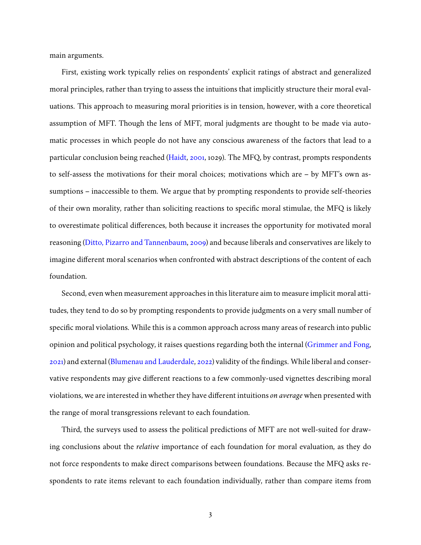main arguments.

First, existing work typically relies on respondents' explicit ratings of abstract and generalized moral principles, rather than trying to assess the intuitions that implicitly structure their moral evaluations. This approach to measuring moral priorities is in tension, however, with a core theoretical assumption of MFT. Though the lens of MFT, moral judgments are thought to be made via automatic processes in which people do not have any conscious awareness of the factors that lead to a particular conclusion being reached [\(Haidt,](#page-43-5) [2001,](#page-43-5) 1029). The MFQ, by contrast, prompts respondents to self-assess the motivations for their moral choices; motivations which are – by MFT's own assumptions – inaccessible to them. We argue that by prompting respondents to provide self-theories of their own morality, rather than soliciting reactions to specific moral stimulae, the MFQ is likely to overestimate political differences, both because it increases the opportunity for motivated moral reasoning [\(Ditto, Pizarro and Tannenbaum,](#page-42-1) [2009\)](#page-42-1) and because liberals and conservatives are likely to imagine different moral scenarios when confronted with abstract descriptions of the content of each foundation.

Second, even when measurement approaches in this literature aim to measure implicit moral attitudes, they tend to do so by prompting respondents to provide judgments on a very small number of specific moral violations. While this is a common approach across many areas of research into public opinion and political psychology, it raises questions regarding both the internal [\(Grimmer and Fong,](#page-43-6) [2021\)](#page-43-6) and external [\(Blumenau and Lauderdale,](#page-42-2) [2022\)](#page-42-2) validity of the findings. While liberal and conservative respondents may give different reactions to a few commonly-used vignettes describing moral violations, we are interested in whether they have different intuitions *on average* when presented with the range of moral transgressions relevant to each foundation.

Third, the surveys used to assess the political predictions of MFT are not well-suited for drawing conclusions about the *relative* importance of each foundation for moral evaluation, as they do not force respondents to make direct comparisons between foundations. Because the MFQ asks respondents to rate items relevant to each foundation individually, rather than compare items from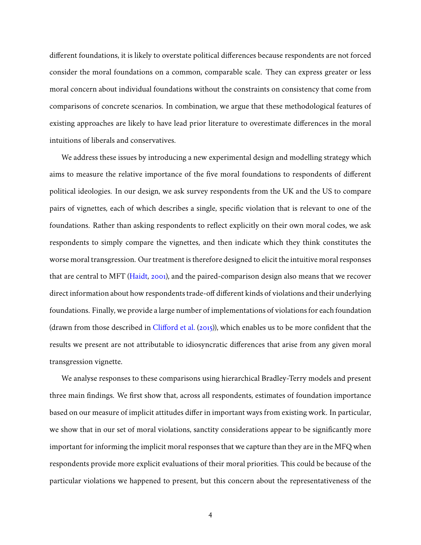different foundations, it is likely to overstate political differences because respondents are not forced consider the moral foundations on a common, comparable scale. They can express greater or less moral concern about individual foundations without the constraints on consistency that come from comparisons of concrete scenarios. In combination, we argue that these methodological features of existing approaches are likely to have lead prior literature to overestimate differences in the moral intuitions of liberals and conservatives.

We address these issues by introducing a new experimental design and modelling strategy which aims to measure the relative importance of the five moral foundations to respondents of different political ideologies. In our design, we ask survey respondents from the UK and the US to compare pairs of vignettes, each of which describes a single, specific violation that is relevant to one of the foundations. Rather than asking respondents to reflect explicitly on their own moral codes, we ask respondents to simply compare the vignettes, and then indicate which they think constitutes the worse moral transgression. Our treatment is therefore designed to elicit the intuitive moral responses that are central to MFT [\(Haidt,](#page-43-5) [2001\)](#page-43-5), and the paired-comparison design also means that we recover direct information about how respondents trade-off different kinds of violations and their underlying foundations. Finally, we provide a large number of implementations of violations for each foundation (drawn from those described in [Clifford et al.](#page-42-3) [\(2015\)](#page-42-3)), which enables us to be more confident that the results we present are not attributable to idiosyncratic differences that arise from any given moral transgression vignette.

We analyse responses to these comparisons using hierarchical Bradley-Terry models and present three main findings. We first show that, across all respondents, estimates of foundation importance based on our measure of implicit attitudes differ in important ways from existing work. In particular, we show that in our set of moral violations, sanctity considerations appear to be significantly more important for informing the implicit moral responses that we capture than they are in the MFQ when respondents provide more explicit evaluations of their moral priorities. This could be because of the particular violations we happened to present, but this concern about the representativeness of the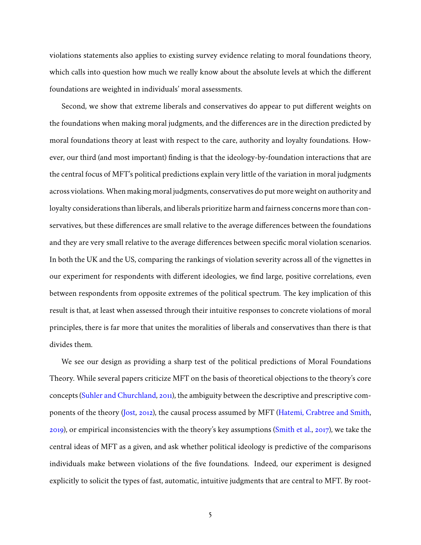violations statements also applies to existing survey evidence relating to moral foundations theory, which calls into question how much we really know about the absolute levels at which the different foundations are weighted in individuals' moral assessments.

Second, we show that extreme liberals and conservatives do appear to put different weights on the foundations when making moral judgments, and the differences are in the direction predicted by moral foundations theory at least with respect to the care, authority and loyalty foundations. However, our third (and most important) finding is that the ideology-by-foundation interactions that are the central focus of MFT's political predictions explain very little of the variation in moral judgments across violations. When making moral judgments, conservatives do put more weight on authority and loyalty considerations than liberals, and liberals prioritize harm and fairness concerns more than conservatives, but these differences are small relative to the average differences between the foundations and they are very small relative to the average differences between specific moral violation scenarios. In both the UK and the US, comparing the rankings of violation severity across all of the vignettes in our experiment for respondents with different ideologies, we find large, positive correlations, even between respondents from opposite extremes of the political spectrum. The key implication of this result is that, at least when assessed through their intuitive responses to concrete violations of moral principles, there is far more that unites the moralities of liberals and conservatives than there is that divides them.

We see our design as providing a sharp test of the political predictions of Moral Foundations Theory. While several papers criticize MFT on the basis of theoretical objections to the theory's core concepts [\(Suhler and Churchland,](#page-45-0) [2011\)](#page-45-0), the ambiguity between the descriptive and prescriptive components of the theory [\(Jost,](#page-44-4) [2012\)](#page-44-4), the causal process assumed by MFT [\(Hatemi, Crabtree and Smith,](#page-44-5) [2019\)](#page-44-5), or empirical inconsistencies with the theory's key assumptions [\(Smith et al.,](#page-45-1) [2017\)](#page-45-1), we take the central ideas of MFT as a given, and ask whether political ideology is predictive of the comparisons individuals make between violations of the five foundations. Indeed, our experiment is designed explicitly to solicit the types of fast, automatic, intuitive judgments that are central to MFT. By root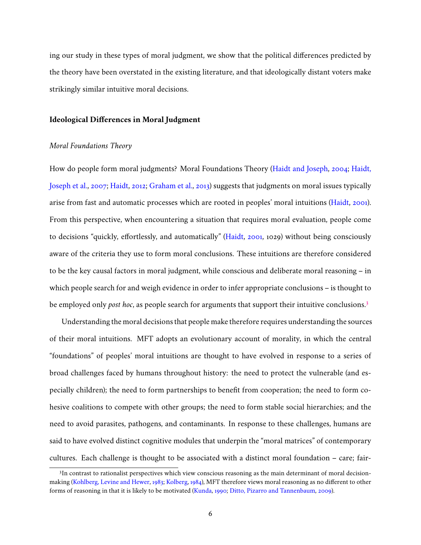ing our study in these types of moral judgment, we show that the political differences predicted by the theory have been overstated in the existing literature, and that ideologically distant voters make strikingly similar intuitive moral decisions.

## **Ideological Differences in Moral Judgment**

## *Moral Foundations Theory*

How do people form moral judgments? Moral Foundations Theory [\(Haidt and Joseph,](#page-43-7) [2004;](#page-43-7) [Haidt,](#page-43-8) [Joseph et al.,](#page-43-8) [2007;](#page-43-8) [Haidt,](#page-43-0) [2012;](#page-43-0) [Graham et al.,](#page-43-2) [2013\)](#page-43-2) suggests that judgments on moral issues typically arise from fast and automatic processes which are rooted in peoples' moral intuitions [\(Haidt,](#page-43-5) [2001\)](#page-43-5). From this perspective, when encountering a situation that requires moral evaluation, people come to decisions "quickly, effortlessly, and automatically" [\(Haidt,](#page-43-5) [2001,](#page-43-5) 1029) without being consciously aware of the criteria they use to form moral conclusions. These intuitions are therefore considered to be the key causal factors in moral judgment, while conscious and deliberate moral reasoning – in which people search for and weigh evidence in order to infer appropriate conclusions – is thought to be employed only *post hoc*, as people search for arguments that support their intuitive conclusions.[3](#page-5-0)

Understanding the moral decisions that people make therefore requires understanding the sources of their moral intuitions. MFT adopts an evolutionary account of morality, in which the central "foundations" of peoples' moral intuitions are thought to have evolved in response to a series of broad challenges faced by humans throughout history: the need to protect the vulnerable (and especially children); the need to form partnerships to benefit from cooperation; the need to form cohesive coalitions to compete with other groups; the need to form stable social hierarchies; and the need to avoid parasites, pathogens, and contaminants. In response to these challenges, humans are said to have evolved distinct cognitive modules that underpin the "moral matrices" of contemporary cultures. Each challenge is thought to be associated with a distinct moral foundation – care; fair-

<span id="page-5-0"></span><sup>&</sup>lt;sup>3</sup>In contrast to rationalist perspectives which view conscious reasoning as the main determinant of moral decisionmaking [\(Kohlberg, Levine and Hewer,](#page-44-6) [1983;](#page-44-6) [Kolberg,](#page-44-7) [1984\)](#page-44-7), MFT therefore views moral reasoning as no different to other forms of reasoning in that it is likely to be motivated [\(Kunda,](#page-44-8) [1990;](#page-44-8) [Ditto, Pizarro and Tannenbaum,](#page-42-1) [2009\)](#page-42-1).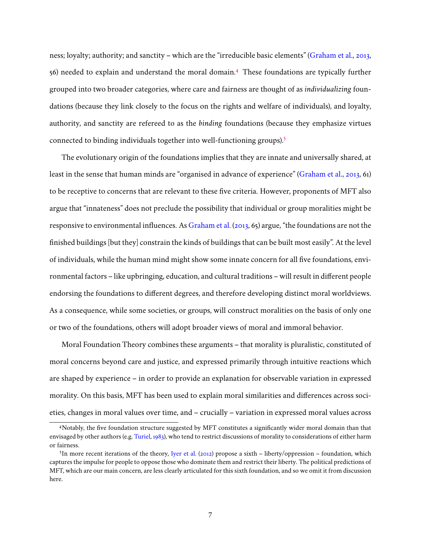ness; loyalty; authority; and sanctity – which are the "irreducible basic elements" [\(Graham et al.,](#page-43-2) [2013,](#page-43-2) 56) needed to explain and understand the moral domain.[4](#page-6-0) These foundations are typically further grouped into two broader categories, where care and fairness are thought of as *individualizing* foundations (because they link closely to the focus on the rights and welfare of individuals), and loyalty, authority, and sanctity are refereed to as the *binding* foundations (because they emphasize virtues connected to binding individuals together into well-functioning groups).[5](#page-6-1)

The evolutionary origin of the foundations implies that they are innate and universally shared, at least in the sense that human minds are "organised in advance of experience" [\(Graham et al.,](#page-43-2) [2013,](#page-43-2) 61) to be receptive to concerns that are relevant to these five criteria. However, proponents of MFT also argue that "innateness" does not preclude the possibility that individual or group moralities might be responsive to environmental influences. As [Graham et al.](#page-43-2) [\(2013,](#page-43-2) 65) argue, "the foundations are not the finished buildings [but they] constrain the kinds of buildings that can be built most easily". At the level of individuals, while the human mind might show some innate concern for all five foundations, environmental factors – like upbringing, education, and cultural traditions – will result in different people endorsing the foundations to different degrees, and therefore developing distinct moral worldviews. As a consequence, while some societies, or groups, will construct moralities on the basis of only one or two of the foundations, others will adopt broader views of moral and immoral behavior.

Moral Foundation Theory combines these arguments – that morality is pluralistic, constituted of moral concerns beyond care and justice, and expressed primarily through intuitive reactions which are shaped by experience – in order to provide an explanation for observable variation in expressed morality. On this basis, MFT has been used to explain moral similarities and differences across societies, changes in moral values over time, and – crucially – variation in expressed moral values across

<span id="page-6-0"></span><sup>4</sup>Notably, the five foundation structure suggested by MFT constitutes a significantly wider moral domain than that envisaged by other authors (e.g. [Turiel,](#page-45-2) [1983\)](#page-45-2), who tend to restrict discussions of morality to considerations of either harm or fairness.

<span id="page-6-1"></span><sup>&</sup>lt;sup>5</sup>In more recent iterations of the theory, [Iyer et al.](#page-44-9) [\(2012\)](#page-44-9) propose a sixth – liberty/oppression – foundation, which captures the impulse for people to oppose those who dominate them and restrict their liberty. The political predictions of MFT, which are our main concern, are less clearly articulated for this sixth foundation, and so we omit it from discussion here.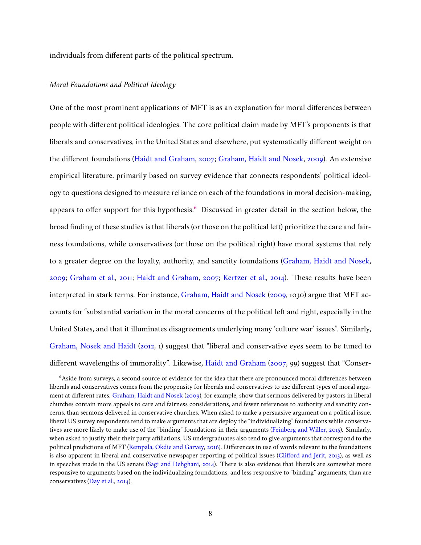individuals from different parts of the political spectrum.

## *Moral Foundations and Political Ideology*

One of the most prominent applications of MFT is as an explanation for moral differences between people with different political ideologies. The core political claim made by MFT's proponents is that liberals and conservatives, in the United States and elsewhere, put systematically different weight on the different foundations [\(Haidt and Graham,](#page-43-1) [2007;](#page-43-1) [Graham, Haidt and Nosek,](#page-43-3) [2009\)](#page-43-3). An extensive empirical literature, primarily based on survey evidence that connects respondents' political ideology to questions designed to measure reliance on each of the foundations in moral decision-making, appears to offer support for this hypothesis.<sup>[6](#page-7-0)</sup> Discussed in greater detail in the section below, the broad finding of these studies is that liberals (or those on the political left) prioritize the care and fairness foundations, while conservatives (or those on the political right) have moral systems that rely to a greater degree on the loyalty, authority, and sanctity foundations [\(Graham, Haidt and Nosek,](#page-43-3) [2009;](#page-43-3) [Graham et al.,](#page-43-4) [2011;](#page-43-4) [Haidt and Graham,](#page-43-1) [2007;](#page-43-1) [Kertzer et al.,](#page-44-3) [2014\)](#page-44-3). These results have been interpreted in stark terms. For instance, [Graham, Haidt and Nosek](#page-43-3) [\(2009,](#page-43-3) 1030) argue that MFT accounts for "substantial variation in the moral concerns of the political left and right, especially in the United States, and that it illuminates disagreements underlying many 'culture war' issues". Similarly, [Graham, Nosek and Haidt](#page-43-9) [\(2012,](#page-43-9) 1) suggest that "liberal and conservative eyes seem to be tuned to different wavelengths of immorality". Likewise, [Haidt and Graham](#page-43-1) [\(2007,](#page-43-1) 99) suggest that "Conser-

<span id="page-7-0"></span><sup>&</sup>lt;sup>6</sup>Aside from surveys, a second source of evidence for the idea that there are pronounced moral differences between liberals and conservatives comes from the propensity for liberals and conservatives to use different types of moral argument at different rates. [Graham, Haidt and Nosek](#page-43-3) [\(2009\)](#page-43-3), for example, show that sermons delivered by pastors in liberal churches contain more appeals to care and fairness considerations, and fewer references to authority and sanctity concerns, than sermons delivered in conservative churches. When asked to make a persuasive argument on a political issue, liberal US survey respondents tend to make arguments that are deploy the "individualizing" foundations while conservatives are more likely to make use of the "binding" foundations in their arguments [\(Feinberg and Willer,](#page-42-4) [2015\)](#page-42-4). Similarly, when asked to justify their their party affiliations, US undergraduates also tend to give arguments that correspond to the political predictions of MFT [\(Rempala, Okdie and Garvey,](#page-44-10) [2016\)](#page-44-10). Differences in use of words relevant to the foundations is also apparent in liberal and conservative newspaper reporting of political issues [\(Clifford and Jerit,](#page-42-5) [2013\)](#page-42-5), as well as in speeches made in the US senate [\(Sagi and Dehghani,](#page-44-11) [2014\)](#page-44-11). There is also evidence that liberals are somewhat more responsive to arguments based on the individualizing foundations, and less responsive to "binding" arguments, than are conservatives [\(Day et al.,](#page-42-6) [2014\)](#page-42-6).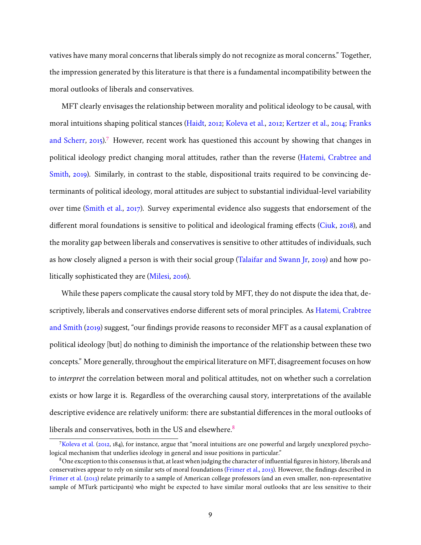vatives have many moral concerns that liberals simply do not recognize as moral concerns." Together, the impression generated by this literature is that there is a fundamental incompatibility between the moral outlooks of liberals and conservatives.

MFT clearly envisages the relationship between morality and political ideology to be causal, with moral intuitions shaping political stances [\(Haidt,](#page-43-0) [2012;](#page-43-0) [Koleva et al.,](#page-44-2) [2012;](#page-44-2) [Kertzer et al.,](#page-44-3) [2014;](#page-44-3) [Franks](#page-42-7) [and Scherr,](#page-42-7) [2015\)](#page-42-7).<sup>[7](#page-8-0)</sup> However, recent work has questioned this account by showing that changes in political ideology predict changing moral attitudes, rather than the reverse [\(Hatemi, Crabtree and](#page-44-5) [Smith,](#page-44-5) [2019\)](#page-44-5). Similarly, in contrast to the stable, dispositional traits required to be convincing determinants of political ideology, moral attitudes are subject to substantial individual-level variability over time [\(Smith et al.,](#page-45-1) [2017\)](#page-45-1). Survey experimental evidence also suggests that endorsement of the different moral foundations is sensitive to political and ideological framing effects [\(Ciuk,](#page-42-8) [2018\)](#page-42-8), and the morality gap between liberals and conservatives is sensitive to other attitudes of individuals, such as how closely aligned a person is with their social group [\(Talaifar and Swann Jr,](#page-45-3) [2019\)](#page-45-3) and how politically sophisticated they are [\(Milesi,](#page-44-12) [2016\)](#page-44-12).

While these papers complicate the causal story told by MFT, they do not dispute the idea that, descriptively, liberals and conservatives endorse different sets of moral principles. As [Hatemi, Crabtree](#page-44-5) [and Smith](#page-44-5) [\(2019\)](#page-44-5) suggest, "our findings provide reasons to reconsider MFT as a causal explanation of political ideology [but] do nothing to diminish the importance of the relationship between these two concepts." More generally, throughout the empirical literature on MFT, disagreement focuses on how to *interpret* the correlation between moral and political attitudes, not on whether such a correlation exists or how large it is. Regardless of the overarching causal story, interpretations of the available descriptive evidence are relatively uniform: there are substantial differences in the moral outlooks of liberals and conservatives, both in the US and elsewhere.<sup>[8](#page-8-1)</sup>

<span id="page-8-0"></span><sup>7</sup>[Koleva et al.](#page-44-2) [\(2012,](#page-44-2) 184), for instance, argue that "moral intuitions are one powerful and largely unexplored psychological mechanism that underlies ideology in general and issue positions in particular."

<span id="page-8-1"></span> $8$ One exception to this consensus is that, at least when judging the character of influential figures in history, liberals and conservatives appear to rely on similar sets of moral foundations [\(Frimer et al.,](#page-43-10) [2013\)](#page-43-10). However, the findings described in [Frimer et al.](#page-43-10) [\(2013\)](#page-43-10) relate primarily to a sample of American college professors (and an even smaller, non-representative sample of MTurk participants) who might be expected to have similar moral outlooks that are less sensitive to their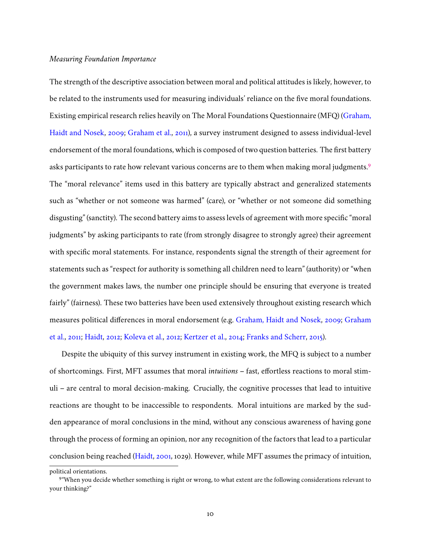## *Measuring Foundation Importance*

The strength of the descriptive association between moral and political attitudes is likely, however, to be related to the instruments used for measuring individuals' reliance on the five moral foundations. Existing empirical research relies heavily on The Moral Foundations Questionnaire (MFQ) [\(Graham,](#page-43-3) [Haidt and Nosek,](#page-43-3) [2009;](#page-43-3) [Graham et al.,](#page-43-4) [2011\)](#page-43-4), a survey instrument designed to assess individual-level endorsement of the moral foundations, which is composed of two question batteries. The first battery asks participants to rate how relevant various concerns are to them when making moral judgments.<sup>[9](#page-9-0)</sup> The "moral relevance" items used in this battery are typically abstract and generalized statements such as "whether or not someone was harmed" (care), or "whether or not someone did something disgusting" (sanctity). The second battery aims to assess levels of agreement with more specific "moral judgments" by asking participants to rate (from strongly disagree to strongly agree) their agreement with specific moral statements. For instance, respondents signal the strength of their agreement for statements such as "respect for authority is something all children need to learn" (authority) or "when the government makes laws, the number one principle should be ensuring that everyone is treated fairly" (fairness). These two batteries have been used extensively throughout existing research which measures political differences in moral endorsement (e.g. [Graham, Haidt and Nosek,](#page-43-3) [2009;](#page-43-3) [Graham](#page-43-4) [et al.,](#page-43-4) [2011;](#page-43-4) [Haidt,](#page-43-0) [2012;](#page-43-0) [Koleva et al.,](#page-44-2) [2012;](#page-44-2) [Kertzer et al.,](#page-44-3) [2014;](#page-44-3) [Franks and Scherr,](#page-42-7) [2015\)](#page-42-7).

Despite the ubiquity of this survey instrument in existing work, the MFQ is subject to a number of shortcomings. First, MFT assumes that moral *intuitions* – fast, effortless reactions to moral stimuli – are central to moral decision-making. Crucially, the cognitive processes that lead to intuitive reactions are thought to be inaccessible to respondents. Moral intuitions are marked by the sudden appearance of moral conclusions in the mind, without any conscious awareness of having gone through the process of forming an opinion, nor any recognition of the factors that lead to a particular conclusion being reached [\(Haidt,](#page-43-5) [2001,](#page-43-5) 1029). However, while MFT assumes the primacy of intuition,

political orientations.

<span id="page-9-0"></span><sup>&</sup>lt;sup>9</sup> "When you decide whether something is right or wrong, to what extent are the following considerations relevant to your thinking?"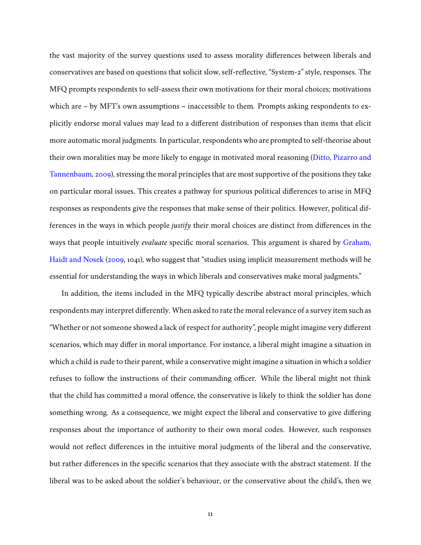the vast majority of the survey questions used to assess morality differences between liberals and conservatives are based on questions that solicit slow, self-reflective, "System-2" style, responses. The MFQ prompts respondents to self-assess their own motivations for their moral choices; motivations which are – by MFT's own assumptions – inaccessible to them. Prompts asking respondents to explicitly endorse moral values may lead to a different distribution of responses than items that elicit more automatic moral judgments. In particular, respondents who are prompted to self-theorise about their own moralities may be more likely to engage in motivated moral reasoning [\(Ditto, Pizarro and](#page-42-1) [Tannenbaum,](#page-42-1) [2009\)](#page-42-1), stressing the moral principles that are most supportive of the positions they take on particular moral issues. This creates a pathway for spurious political differences to arise in MFQ responses as respondents give the responses that make sense of their politics. However, political differences in the ways in which people *justify* their moral choices are distinct from differences in the ways that people intuitively *evaluate* specific moral scenarios. This argument is shared by [Graham,](#page-43-3) [Haidt and Nosek](#page-43-3) [\(2009,](#page-43-3) 1041), who suggest that "studies using implicit measurement methods will be essential for understanding the ways in which liberals and conservatives make moral judgments."

In addition, the items included in the MFQ typically describe abstract moral principles, which respondents may interpret differently. When asked to rate the moral relevance of a survey item such as "Whether or not someone showed a lack of respect for authority", people might imagine very different scenarios, which may differ in moral importance. For instance, a liberal might imagine a situation in which a child is rude to their parent, while a conservative might imagine a situation in which a soldier refuses to follow the instructions of their commanding officer. While the liberal might not think that the child has committed a moral offence, the conservative is likely to think the soldier has done something wrong. As a consequence, we might expect the liberal and conservative to give differing responses about the importance of authority to their own moral codes. However, such responses would not reflect differences in the intuitive moral judgments of the liberal and the conservative, but rather differences in the specific scenarios that they associate with the abstract statement. If the liberal was to be asked about the soldier's behaviour, or the conservative about the child's, then we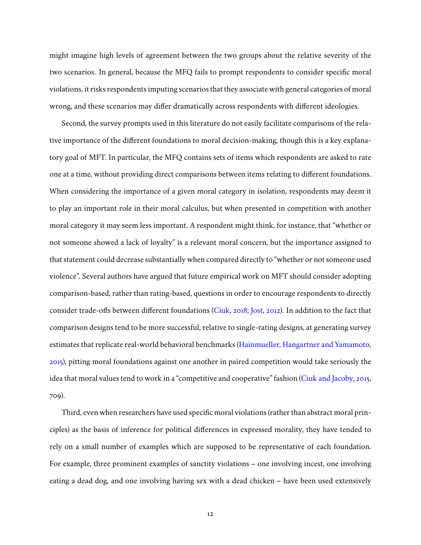might imagine high levels of agreement between the two groups about the relative severity of the two scenarios. In general, because the MFQ fails to prompt respondents to consider specific moral violations, it risks respondents imputing scenarios that they associate with general categories of moral wrong, and these scenarios may differ dramatically across respondents with different ideologies.

Second, the survey prompts used in this literature do not easily facilitate comparisons of the relative importance of the different foundations to moral decision-making, though this is a key explanatory goal of MFT. In particular, the MFQ contains sets of items which respondents are asked to rate one at a time, without providing direct comparisons between items relating to different foundations. When considering the importance of a given moral category in isolation, respondents may deem it to play an important role in their moral calculus, but when presented in competition with another moral category it may seem less important. A respondent might think, for instance, that "whether or not someone showed a lack of loyalty" is a relevant moral concern, but the importance assigned to that statement could decrease substantially when compared directly to "whether or not someone used violence". Several authors have argued that future empirical work on MFT should consider adopting comparison-based, rather than rating-based, questions in order to encourage respondents to directly consider trade-offs between different foundations [\(Ciuk,](#page-42-8) [2018;](#page-42-8) [Jost,](#page-44-4) [2012\)](#page-44-4). In addition to the fact that comparison designs tend to be more successful, relative to single-rating designs, at generating survey estimates that replicate real-world behavioral benchmarks [\(Hainmueller, Hangartner and Yamamoto,](#page-43-11) [2015\)](#page-43-11), pitting moral foundations against one another in paired competition would take seriously the idea that moral values tend to work in a "competitive and cooperative" fashion [\(Ciuk and Jacoby,](#page-42-9) [2015,](#page-42-9) 709).

Third, even when researchers have used specific moral violations (rather than abstract moral principles) as the basis of inference for political differences in expressed morality, they have tended to rely on a small number of examples which are supposed to be representative of each foundation. For example, three prominent examples of sanctity violations – one involving incest, one involving eating a dead dog, and one involving having sex with a dead chicken – have been used extensively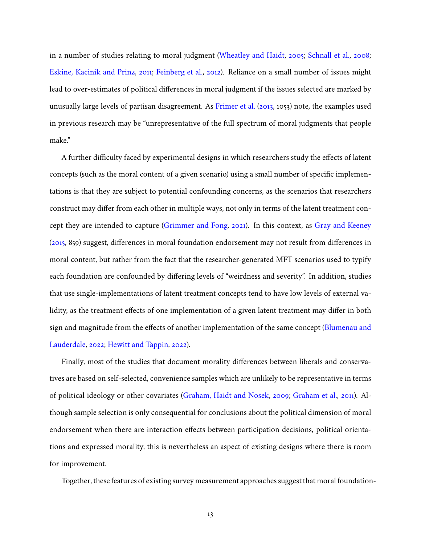in a number of studies relating to moral judgment [\(Wheatley and Haidt,](#page-45-4) [2005;](#page-45-4) [Schnall et al.,](#page-45-5) [2008;](#page-45-5) [Eskine, Kacinik and Prinz,](#page-42-10) [2011;](#page-42-10) [Feinberg et al.,](#page-42-11) [2012\)](#page-42-11). Reliance on a small number of issues might lead to over-estimates of political differences in moral judgment if the issues selected are marked by unusually large levels of partisan disagreement. As [Frimer et al.](#page-43-10) [\(2013,](#page-43-10) 1053) note, the examples used in previous research may be "unrepresentative of the full spectrum of moral judgments that people make."

A further difficulty faced by experimental designs in which researchers study the effects of latent concepts (such as the moral content of a given scenario) using a small number of specific implementations is that they are subject to potential confounding concerns, as the scenarios that researchers construct may differ from each other in multiple ways, not only in terms of the latent treatment concept they are intended to capture [\(Grimmer and Fong,](#page-43-6) [2021\)](#page-43-6). In this context, as [Gray and Keeney](#page-43-12) [\(2015,](#page-43-12) 859) suggest, differences in moral foundation endorsement may not result from differences in moral content, but rather from the fact that the researcher-generated MFT scenarios used to typify each foundation are confounded by differing levels of "weirdness and severity". In addition, studies that use single-implementations of latent treatment concepts tend to have low levels of external validity, as the treatment effects of one implementation of a given latent treatment may differ in both sign and magnitude from the effects of another implementation of the same concept [\(Blumenau and](#page-42-2) [Lauderdale,](#page-42-2) [2022;](#page-42-2) [Hewitt and Tappin,](#page-44-13) [2022\)](#page-44-13).

Finally, most of the studies that document morality differences between liberals and conservatives are based on self-selected, convenience samples which are unlikely to be representative in terms of political ideology or other covariates [\(Graham, Haidt and Nosek,](#page-43-3) [2009;](#page-43-3) [Graham et al.,](#page-43-4) [2011\)](#page-43-4). Although sample selection is only consequential for conclusions about the political dimension of moral endorsement when there are interaction effects between participation decisions, political orientations and expressed morality, this is nevertheless an aspect of existing designs where there is room for improvement.

Together, these features of existing survey measurement approaches suggest that moral foundation-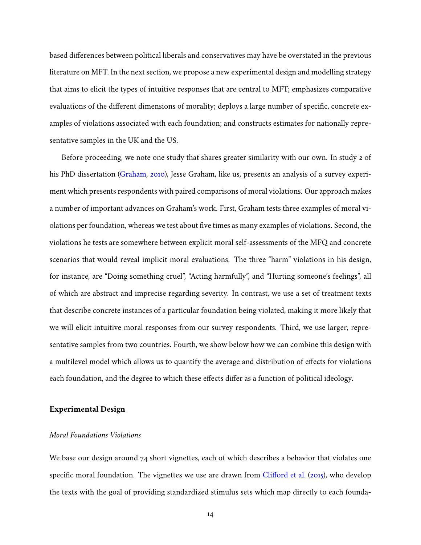based differences between political liberals and conservatives may have be overstated in the previous literature on MFT. In the next section, we propose a new experimental design and modelling strategy that aims to elicit the types of intuitive responses that are central to MFT; emphasizes comparative evaluations of the different dimensions of morality; deploys a large number of specific, concrete examples of violations associated with each foundation; and constructs estimates for nationally representative samples in the UK and the US.

Before proceeding, we note one study that shares greater similarity with our own. In study 2 of his PhD dissertation [\(Graham,](#page-43-13) [2010\)](#page-43-13), Jesse Graham, like us, presents an analysis of a survey experiment which presents respondents with paired comparisons of moral violations. Our approach makes a number of important advances on Graham's work. First, Graham tests three examples of moral violations per foundation, whereas we test about five times as many examples of violations. Second, the violations he tests are somewhere between explicit moral self-assessments of the MFQ and concrete scenarios that would reveal implicit moral evaluations. The three "harm" violations in his design, for instance, are "Doing something cruel", "Acting harmfully", and "Hurting someone's feelings", all of which are abstract and imprecise regarding severity. In contrast, we use a set of treatment texts that describe concrete instances of a particular foundation being violated, making it more likely that we will elicit intuitive moral responses from our survey respondents. Third, we use larger, representative samples from two countries. Fourth, we show below how we can combine this design with a multilevel model which allows us to quantify the average and distribution of effects for violations each foundation, and the degree to which these effects differ as a function of political ideology.

## **Experimental Design**

## *Moral Foundations Violations*

We base our design around 74 short vignettes, each of which describes a behavior that violates one specific moral foundation. The vignettes we use are drawn from [Clifford et al.](#page-42-3) [\(2015\)](#page-42-3), who develop the texts with the goal of providing standardized stimulus sets which map directly to each founda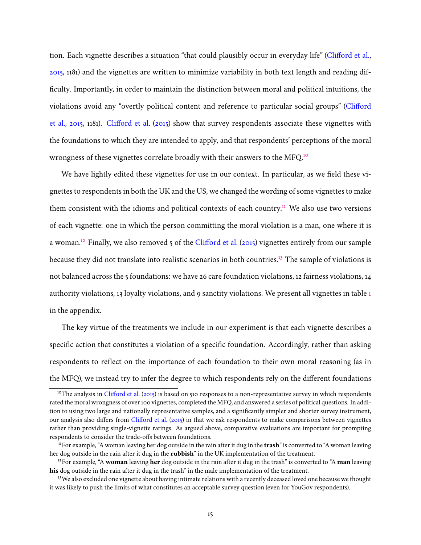tion. Each vignette describes a situation "that could plausibly occur in everyday life" [\(Clifford et al.,](#page-42-3) [2015,](#page-42-3) 1181) and the vignettes are written to minimize variability in both text length and reading difficulty. Importantly, in order to maintain the distinction between moral and political intuitions, the violations avoid any "overtly political content and reference to particular social groups" [\(Clifford](#page-42-3) [et al.,](#page-42-3) [2015,](#page-42-3) 1181). [Clifford et al.](#page-42-3) [\(2015\)](#page-42-3) show that survey respondents associate these vignettes with the foundations to which they are intended to apply, and that respondents' perceptions of the moral wrongness of these vignettes correlate broadly with their answers to the MFQ.[10](#page-14-0)

We have lightly edited these vignettes for use in our context. In particular, as we field these vignettes to respondents in both the UK and the US, we changed the wording of some vignettes to make them consistent with the idioms and political contexts of each country.<sup>[11](#page-14-1)</sup> We also use two versions of each vignette: one in which the person committing the moral violation is a man, one where it is a woman.<sup>[12](#page-14-2)</sup> Finally, we also removed 5 of the [Clifford et al.](#page-42-3) [\(2015\)](#page-42-3) vignettes entirely from our sample because they did not translate into realistic scenarios in both countries.[13](#page-14-3) The sample of violations is not balanced across the 5 foundations: we have 26 care foundation violations, 12 fairness violations, 14 authority violations, 13 loyalty violations, and 9 sanctity violations. We present all vignettes in table [1](#page-22-0) in the appendix.

The key virtue of the treatments we include in our experiment is that each vignette describes a specific action that constitutes a violation of a specific foundation. Accordingly, rather than asking respondents to reflect on the importance of each foundation to their own moral reasoning (as in the MFQ), we instead try to infer the degree to which respondents rely on the different foundations

<span id="page-14-0"></span><sup>&</sup>lt;sup>10</sup>The analysis in [Clifford et al.](#page-42-3) [\(2015\)](#page-42-3) is based on 510 responses to a non-representative survey in which respondents rated the moral wrongness of over 100 vignettes, completed the MFQ, and answered a series of political questions. In addition to using two large and nationally representative samples, and a significantly simpler and shorter survey instrument, our analysis also differs from [Clifford et al.](#page-42-3) [\(2015\)](#page-42-3) in that we ask respondents to make comparisons between vignettes rather than providing single-vignette ratings. As argued above, comparative evaluations are important for prompting respondents to consider the trade-offs between foundations.

<span id="page-14-1"></span><sup>11</sup>For example, "A woman leaving her dog outside in the rain after it dug in the **trash**" is converted to "A woman leaving her dog outside in the rain after it dug in the **rubbish**" in the UK implementation of the treatment.

<span id="page-14-2"></span><sup>12</sup>For example, "A **woman** leaving **her** dog outside in the rain after it dug in the trash" is converted to "A **man** leaving **his** dog outside in the rain after it dug in the trash" in the male implementation of the treatment.

<span id="page-14-3"></span><sup>&</sup>lt;sup>13</sup>We also excluded one vignette about having intimate relations with a recently deceased loved one because we thought it was likely to push the limits of what constitutes an acceptable survey question (even for YouGov respondents).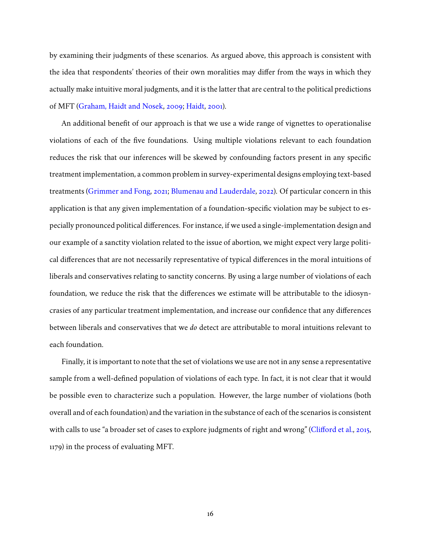by examining their judgments of these scenarios. As argued above, this approach is consistent with the idea that respondents' theories of their own moralities may differ from the ways in which they actually make intuitive moral judgments, and it is the latter that are central to the political predictions of MFT [\(Graham, Haidt and Nosek,](#page-43-3) [2009;](#page-43-3) [Haidt,](#page-43-5) [2001\)](#page-43-5).

An additional benefit of our approach is that we use a wide range of vignettes to operationalise violations of each of the five foundations. Using multiple violations relevant to each foundation reduces the risk that our inferences will be skewed by confounding factors present in any specific treatment implementation, a common problem in survey-experimental designs employing text-based treatments [\(Grimmer and Fong,](#page-43-6) [2021;](#page-43-6) [Blumenau and Lauderdale,](#page-42-2) [2022\)](#page-42-2). Of particular concern in this application is that any given implementation of a foundation-specific violation may be subject to especially pronounced political differences. For instance, if we used a single-implementation design and our example of a sanctity violation related to the issue of abortion, we might expect very large political differences that are not necessarily representative of typical differences in the moral intuitions of liberals and conservatives relating to sanctity concerns. By using a large number of violations of each foundation, we reduce the risk that the differences we estimate will be attributable to the idiosyncrasies of any particular treatment implementation, and increase our confidence that any differences between liberals and conservatives that we *do* detect are attributable to moral intuitions relevant to each foundation.

Finally, it is important to note that the set of violations we use are not in any sense a representative sample from a well-defined population of violations of each type. In fact, it is not clear that it would be possible even to characterize such a population. However, the large number of violations (both overall and of each foundation) and the variation in the substance of each of the scenarios is consistent with calls to use "a broader set of cases to explore judgments of right and wrong" [\(Clifford et al.,](#page-42-3) [2015,](#page-42-3) 1179) in the process of evaluating MFT.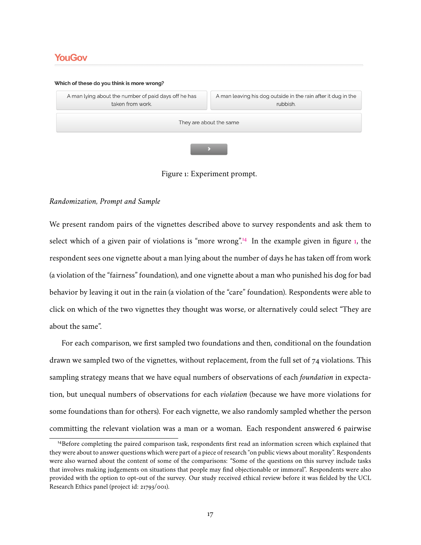## **YouGov**

## Which of these do you think is more wrong? A man leaving his dog outside in the rain after it dug in the A man lying about the number of paid days off he has taken from work. rubbish. They are about the same

<span id="page-16-1"></span>Figure 1: Experiment prompt.

## *Randomization, Prompt and Sample*

We present random pairs of the vignettes described above to survey respondents and ask them to select which of a given pair of violations is "more wrong".<sup>[14](#page-16-0)</sup> In the example given in figure [1,](#page-16-1) the respondent sees one vignette about a man lying about the number of days he has taken off from work (a violation of the "fairness" foundation), and one vignette about a man who punished his dog for bad behavior by leaving it out in the rain (a violation of the "care" foundation). Respondents were able to click on which of the two vignettes they thought was worse, or alternatively could select "They are about the same".

For each comparison, we first sampled two foundations and then, conditional on the foundation drawn we sampled two of the vignettes, without replacement, from the full set of 74 violations. This sampling strategy means that we have equal numbers of observations of each *foundation* in expectation, but unequal numbers of observations for each *violation* (because we have more violations for some foundations than for others). For each vignette, we also randomly sampled whether the person committing the relevant violation was a man or a woman. Each respondent answered 6 pairwise

<span id="page-16-0"></span><sup>&</sup>lt;sup>14</sup>Before completing the paired comparison task, respondents first read an information screen which explained that they were about to answer questions which were part of a piece of research "on public views about morality". Respondents were also warned about the content of some of the comparisons: "Some of the questions on this survey include tasks that involves making judgements on situations that people may find objectionable or immoral". Respondents were also provided with the option to opt-out of the survey. Our study received ethical review before it was fielded by the UCL Research Ethics panel (project id: 21793/001).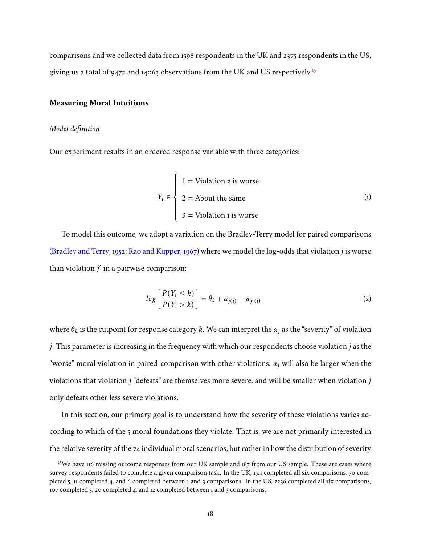comparisons and we collected data from 1598 respondents in the UK and 2375 respondents in the US, giving us a total of 9472 and 14063 observations from the UK and US respectively.<sup>[15](#page-17-0)</sup>

## **Measuring Moral Intuitions**

## *Model definition*

Our experiment results in an ordered response variable with three categories:

J.

$$
Y_i \in \begin{cases} 1 = \text{Violation } \text{z is worse} \\ 2 = \text{About the same} \\ 3 = \text{Violation } \text{1 is worse} \end{cases} \tag{1}
$$

To model this outcome, we adopt a variation on the Bradley-Terry model for paired comparisons [\(Bradley and Terry,](#page-42-12) [1952;](#page-42-12) [Rao and Kupper,](#page-44-14) [1967\)](#page-44-14) where we model the log-odds that violation  $j$  is worse than violation  $j'$  in a pairwise comparison:

<span id="page-17-1"></span>
$$
log\left[\frac{P(Y_i \le k)}{P(Y_i > k)}\right] = \theta_k + \alpha_{j(i)} - \alpha_{j'(i)}
$$
\n(2)

where  $\theta_k$  is the cutpoint for response category k. We can interpret the  $\alpha_i$  as the "severity" of violation *j*. This parameter is increasing in the frequency with which our respondents choose violation  $j$  as the "worse" moral violation in paired-comparison with other violations.  $\alpha_i$  will also be larger when the violations that violation  $j$  "defeats" are themselves more severe, and will be smaller when violation  $j$ only defeats other less severe violations.

In this section, our primary goal is to understand how the severity of these violations varies according to which of the 5 moral foundations they violate. That is, we are not primarily interested in the relative severity of the  $74$  individual moral scenarios, but rather in how the distribution of severity

<span id="page-17-0"></span><sup>&</sup>lt;sup>15</sup>We have 116 missing outcome responses from our UK sample and 187 from our US sample. These are cases where survey respondents failed to complete a given comparison task. In the UK, 1511 completed all six comparisons, 70 completed 5, 11 completed 4, and 6 completed between 1 and 3 comparisons. In the US, 2236 completed all six comparisons, 107 completed 5, 20 completed 4, and 12 completed between 1 and 3 comparisons.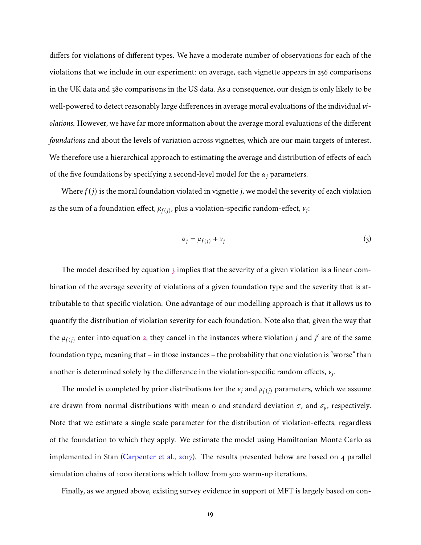differs for violations of different types. We have a moderate number of observations for each of the violations that we include in our experiment: on average, each vignette appears in 256 comparisons in the UK data and 380 comparisons in the US data. As a consequence, our design is only likely to be well-powered to detect reasonably large differences in average moral evaluations of the individual *violations.* However, we have far more information about the average moral evaluations of the different *foundations* and about the levels of variation across vignettes, which are our main targets of interest. We therefore use a hierarchical approach to estimating the average and distribution of effects of each of the five foundations by specifying a second-level model for the  $\alpha_i$  parameters.

Where  $f(j)$  is the moral foundation violated in vignette  $j$ , we model the severity of each violation as the sum of a foundation effect,  $\mu_{f(j)}$ , plus a violation-specific random-effect,  $\nu_j$ :

<span id="page-18-0"></span>
$$
\alpha_j = \mu_{f(j)} + \nu_j \tag{3}
$$

The model described by equation  $\frac{1}{3}$  $\frac{1}{3}$  $\frac{1}{3}$  implies that the severity of a given violation is a linear combination of the average severity of violations of a given foundation type and the severity that is attributable to that specific violation. One advantage of our modelling approach is that it allows us to quantify the distribution of violation severity for each foundation. Note also that, given the way that the  $\mu_{f(j)}$  enter into equation [2,](#page-17-1) they cancel in the instances where violation j and j' are of the same foundation type, meaning that – in those instances – the probability that one violation is "worse" than another is determined solely by the difference in the violation-specific random effects,  $v_j$ .

The model is completed by prior distributions for the  $v_j$  and  $\mu_{f(j)}$  parameters, which we assume are drawn from normal distributions with mean o and standard deviation  $\sigma_{\nu}$  and  $\sigma_{\mu}$ , respectively. Note that we estimate a single scale parameter for the distribution of violation-effects, regardless of the foundation to which they apply. We estimate the model using Hamiltonian Monte Carlo as implemented in Stan [\(Carpenter et al.,](#page-42-13) [2017\)](#page-42-13). The results presented below are based on 4 parallel simulation chains of 1000 iterations which follow from 500 warm-up iterations.

Finally, as we argued above, existing survey evidence in support of MFT is largely based on con-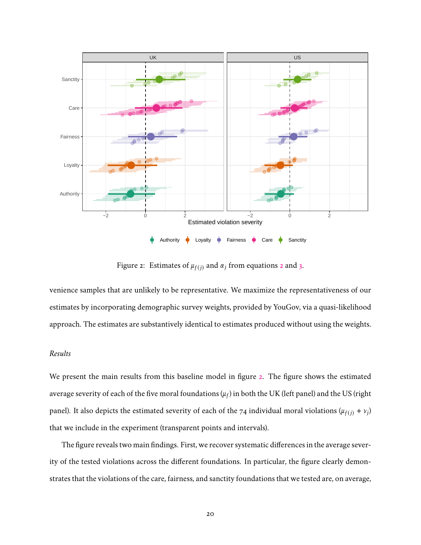

<span id="page-19-0"></span>Figure [2](#page-17-1): Estimates of  $\mu_{f(i)}$  and  $\alpha_j$  from equations 2 and [3.](#page-18-0)

venience samples that are unlikely to be representative. We maximize the representativeness of our estimates by incorporating demographic survey weights, provided by YouGov, via a quasi-likelihood approach. The estimates are substantively identical to estimates produced without using the weights.

## *Results*

We present the main results from this baseline model in figure [2.](#page-19-0) The figure shows the estimated average severity of each of the five moral foundations ( $\mu_f$ ) in both the UK (left panel) and the US (right panel). It also depicts the estimated severity of each of the 74 individual moral violations  $(\mu_{f(j)} + \nu_j)$ that we include in the experiment (transparent points and intervals).

The figure reveals two main findings. First, we recover systematic differences in the average severity of the tested violations across the different foundations. In particular, the figure clearly demonstrates that the violations of the care, fairness, and sanctity foundations that we tested are, on average,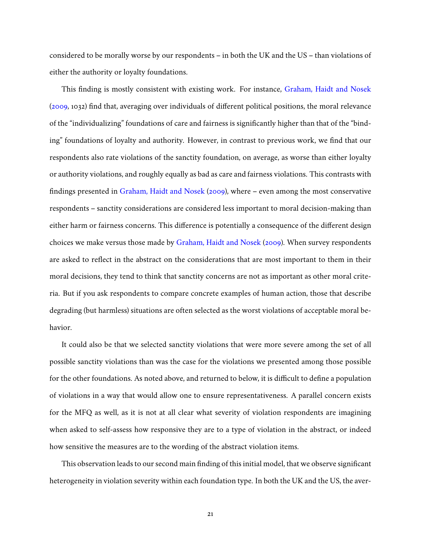considered to be morally worse by our respondents – in both the UK and the US – than violations of either the authority or loyalty foundations.

This finding is mostly consistent with existing work. For instance, [Graham, Haidt and Nosek](#page-43-3) [\(2009,](#page-43-3) 1032) find that, averaging over individuals of different political positions, the moral relevance of the "individualizing" foundations of care and fairness is significantly higher than that of the "binding" foundations of loyalty and authority. However, in contrast to previous work, we find that our respondents also rate violations of the sanctity foundation, on average, as worse than either loyalty or authority violations, and roughly equally as bad as care and fairness violations. This contrasts with findings presented in [Graham, Haidt and Nosek](#page-43-3) [\(2009\)](#page-43-3), where – even among the most conservative respondents – sanctity considerations are considered less important to moral decision-making than either harm or fairness concerns. This difference is potentially a consequence of the different design choices we make versus those made by [Graham, Haidt and Nosek](#page-43-3) [\(2009\)](#page-43-3). When survey respondents are asked to reflect in the abstract on the considerations that are most important to them in their moral decisions, they tend to think that sanctity concerns are not as important as other moral criteria. But if you ask respondents to compare concrete examples of human action, those that describe degrading (but harmless) situations are often selected as the worst violations of acceptable moral behavior.

It could also be that we selected sanctity violations that were more severe among the set of all possible sanctity violations than was the case for the violations we presented among those possible for the other foundations. As noted above, and returned to below, it is difficult to define a population of violations in a way that would allow one to ensure representativeness. A parallel concern exists for the MFQ as well, as it is not at all clear what severity of violation respondents are imagining when asked to self-assess how responsive they are to a type of violation in the abstract, or indeed how sensitive the measures are to the wording of the abstract violation items.

This observation leads to our second main finding of this initial model, that we observe significant heterogeneity in violation severity within each foundation type. In both the UK and the US, the aver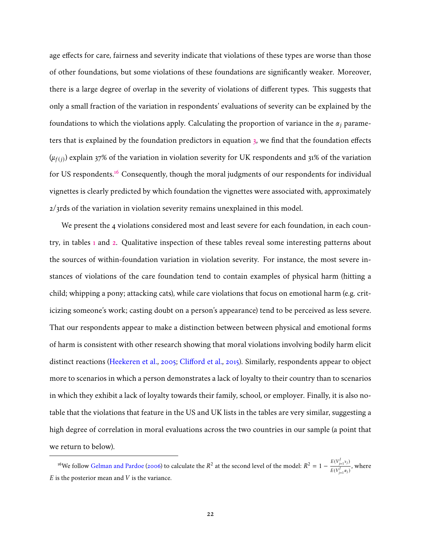age effects for care, fairness and severity indicate that violations of these types are worse than those of other foundations, but some violations of these foundations are significantly weaker. Moreover, there is a large degree of overlap in the severity of violations of different types. This suggests that only a small fraction of the variation in respondents' evaluations of severity can be explained by the foundations to which the violations apply. Calculating the proportion of variance in the  $\alpha_i$  parameters that is explained by the foundation predictors in equation [3,](#page-18-0) we find that the foundation effects  $(\mu_{f(j)})$  explain 37% of the variation in violation severity for UK respondents and 31% of the variation for US respondents.<sup>[16](#page-21-0)</sup> Consequently, though the moral judgments of our respondents for individual vignettes is clearly predicted by which foundation the vignettes were associated with, approximately 2/3rds of the variation in violation severity remains unexplained in this model.

We present the 4 violations considered most and least severe for each foundation, in each country, in tables [1](#page-22-0) and [2.](#page-23-0) Qualitative inspection of these tables reveal some interesting patterns about the sources of within-foundation variation in violation severity. For instance, the most severe instances of violations of the care foundation tend to contain examples of physical harm (hitting a child; whipping a pony; attacking cats), while care violations that focus on emotional harm (e.g. criticizing someone's work; casting doubt on a person's appearance) tend to be perceived as less severe. That our respondents appear to make a distinction between between physical and emotional forms of harm is consistent with other research showing that moral violations involving bodily harm elicit distinct reactions [\(Heekeren et al.,](#page-44-15) [2005;](#page-44-15) [Clifford et al.,](#page-42-3) [2015\)](#page-42-3). Similarly, respondents appear to object more to scenarios in which a person demonstrates a lack of loyalty to their country than to scenarios in which they exhibit a lack of loyalty towards their family, school, or employer. Finally, it is also notable that the violations that feature in the US and UK lists in the tables are very similar, suggesting a high degree of correlation in moral evaluations across the two countries in our sample (a point that we return to below).

<span id="page-21-0"></span><sup>&</sup>lt;sup>16</sup>We follow [Gelman and Pardoe](#page-43-14) [\(2006\)](#page-43-14) to calculate the  $R^2$  at the second level of the model:  $R^2 = 1 - \frac{E(V_{j=1}^j v_j)}{E(V_{j=1}^j v_j)}$  $\frac{1}{E(V_{j=1}^j \alpha_j)}$ , where  $E$  is the posterior mean and  $V$  is the variance.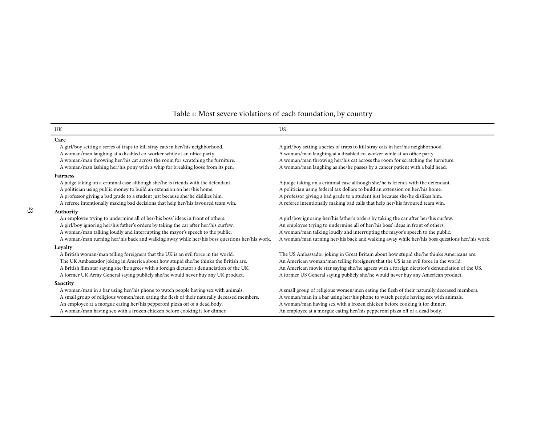## <span id="page-22-0"></span>Table 1: Most severe violations of each foundation, by country

| UK                                                                                           | <b>US</b>                                                                                     |  |  |  |
|----------------------------------------------------------------------------------------------|-----------------------------------------------------------------------------------------------|--|--|--|
| Care                                                                                         |                                                                                               |  |  |  |
| A girl/boy setting a series of traps to kill stray cats in her/his neighborhood.             | A girl/boy setting a series of traps to kill stray cats in her/his neighborhood.              |  |  |  |
| A woman/man laughing at a disabled co-worker while at an office party.                       | A woman/man laughing at a disabled co-worker while at an office party.                        |  |  |  |
| A woman/man throwing her/his cat across the room for scratching the furniture.               | A woman/man throwing her/his cat across the room for scratching the furniture.                |  |  |  |
| A woman/man lashing her/his pony with a whip for breaking loose from its pen.                | A woman/man laughing as she/he passes by a cancer patient with a bald head.                   |  |  |  |
| <b>Fairness</b>                                                                              |                                                                                               |  |  |  |
| A judge taking on a criminal case although she/he is friends with the defendant.             | A judge taking on a criminal case although she/he is friends with the defendant.              |  |  |  |
| A politician using public money to build an extension on her/his home.                       | A politician using federal tax dollars to build an extension on her/his home.                 |  |  |  |
| A professor giving a bad grade to a student just because she/he dislikes him.                | A professor giving a bad grade to a student just because she/he dislikes him.                 |  |  |  |
| A referee intentionally making bad decisions that help her/his favoured team win.            | A referee intentionally making bad calls that help her/his favoured team win.                 |  |  |  |
| Authority                                                                                    |                                                                                               |  |  |  |
| An employee trying to undermine all of her/his boss' ideas in front of others.               | A girl/boy ignoring her/his father's orders by taking the car after her/his curfew.           |  |  |  |
| A girl/boy ignoring her/his father's orders by taking the car after her/his curfew.          | An employee trying to undermine all of her/his boss' ideas in front of others.                |  |  |  |
| A woman/man talking loudly and interrupting the mayor's speech to the public.                | A woman/man talking loudly and interrupting the mayor's speech to the public.                 |  |  |  |
| A woman/man turning her/his back and walking away while her/his boss questions her/his work. | A woman/man turning her/his back and walking away while her/his boss questions her/his work.  |  |  |  |
| Loyalty                                                                                      |                                                                                               |  |  |  |
| A British woman/man telling foreigners that the UK is an evil force in the world.            | The US Ambassador joking in Great Britain about how stupid she/he thinks Americans are.       |  |  |  |
| The UK Ambassador joking in America about how stupid she/he thinks the British are.          | An American woman/man telling foreigners that the US is an evil force in the world.           |  |  |  |
| A British film star saying she/he agrees with a foreign dictator's denunciation of the UK.   | An American movie star saying she/he agrees with a foreign dictator's denunciation of the US. |  |  |  |
| A former UK Army General saying publicly she/he would never buy any UK product.              | A former US General saying publicly she/he would never buy any American product.              |  |  |  |
| Sanctity                                                                                     |                                                                                               |  |  |  |
| A woman/man in a bar using her/his phone to watch people having sex with animals.            | A small group of religious women/men eating the flesh of their naturally deceased members.    |  |  |  |
| A small group of religious women/men eating the flesh of their naturally deceased members.   | A woman/man in a bar using her/his phone to watch people having sex with animals.             |  |  |  |
| An employee at a morgue eating her/his pepperoni pizza off of a dead body.                   | A woman/man having sex with a frozen chicken before cooking it for dinner.                    |  |  |  |
| A woman/man having sex with a frozen chicken before cooking it for dinner.                   | An employee at a morgue eating her/his pepperoni pizza off of a dead body.                    |  |  |  |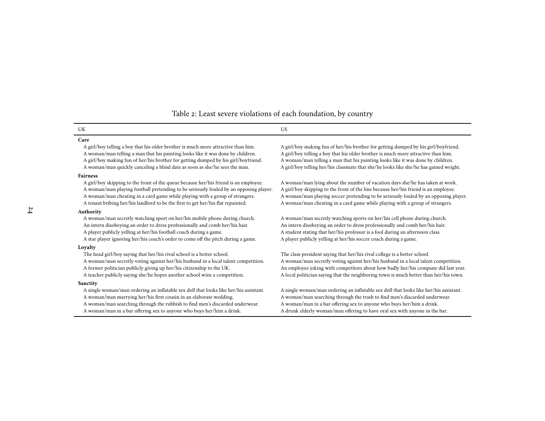## <span id="page-23-0"></span>Table 2: Least severe violations of each foundation, by country

#### UKK US **Care**A girl/boy telling a boy that his older brother is much more attractive than him.

A woman/man telling a man that his painting looks like it was done by children. A girl/boy telling a boy that his older brother is much more attractive than him. <sup>A</sup> <sup>g</sup>irl/boy making fun of her/his brother for getting dumped by his <sup>g</sup>irl/boyfriend. <sup>A</sup> woman/man telling <sup>a</sup> man that his painting looks like it was done by children. <sup>A</sup> woman/man quickly canceling <sup>a</sup> blind date as soon as she/he sees the man. <sup>A</sup> <sup>g</sup>irl/boy telling her/his classmate that she/he looks like she/he has gained weight.

#### **Fairness**

 <sup>A</sup> <sup>g</sup>irl/boy skipping to the front of the queue because her/his friend is an employee. <sup>A</sup> woman/man lying about the number of vacation days she/he has taken at work. <sup>A</sup> woman/man <sup>p</sup>laying football pretending to be seriously fouled by an opposing <sup>p</sup>layer. <sup>A</sup> <sup>g</sup>irl/boy skipping to the front of the line because her/his friend is an employee. <sup>A</sup> woman/man cheating in <sup>a</sup> card game while <sup>p</sup>laying with <sup>a</sup> group of strangers. <sup>A</sup> woman/man <sup>p</sup>laying soccer pretending to be seriously fouled by an opposing <sup>p</sup>layer. <sup>A</sup> tenant bribing her/his landlord to be the first to ge<sup>t</sup> her/his flat repainted. <sup>A</sup> woman/man cheating in <sup>a</sup> card game while <sup>p</sup>laying with <sup>a</sup> group of strangers.

#### **Authority**

An intern disobeying an order to dress professionally and comb her/his hair. An intern disobeying an order to dress professionally and comb her/his hair. <sup>A</sup> <sup>p</sup>layer publicly yelling at her/his football coach during <sup>a</sup> game. <sup>A</sup> student stating that her/his professor is <sup>a</sup> fool during an afternoon class. <sup>A</sup> star <sup>p</sup>layer ignoring her/his coach's order to come off the <sup>p</sup>itch during <sup>a</sup> game. <sup>A</sup> <sup>p</sup>layer publicly yelling at her/his soccer coach during <sup>a</sup> game.

#### **Loyalty**

The head girl/boy saying that her/his rival school is a better school. <sup>A</sup> teacher publicly saying she/he hopes another school wins <sup>a</sup> competition. <sup>A</sup> local politician saying that the neighboring town is much better than her/his town.

#### **Sanctity**

A single woman/man ordering an inflatable sex doll that looks like her/his assistant. <sup>A</sup> woman/man marrying her/his first cousin in an elaborate wedding. <sup>A</sup> woman/man searching through the trash to find men's discarded underwear. <sup>A</sup> woman/man searching through the rubbish to find men's discarded underwear. <sup>A</sup> woman/man in <sup>a</sup> bar offering sex to anyone who buys her/him <sup>a</sup> drink.

A girl/boy making fun of her/his brother for getting dumped by his girl/boyfriend.

<sup>A</sup> woman/man secretly watching spor<sup>t</sup> on her/his mobile <sup>p</sup>hone during church. <sup>A</sup> woman/man secretly watching sports on her/his cell <sup>p</sup>hone during church.

The class president saying that her/his rival college is a better school. <sup>A</sup> woman/man secretly voting against her/his husband in <sup>a</sup> local talent competition. <sup>A</sup> woman/man secretly voting against her/his husband in <sup>a</sup> local talent competition. <sup>A</sup> former politician publicly <sup>g</sup>iving up her/his citizenship to the UK. An employee joking with competitors about how badly her/his company did last year.

A single woman/man ordering an inflatable sex doll that looks like her/his assistant. A woman/man in a bar offering sex to anyone who buys her/him a drink. A drunk elderly woman/man offering to have oral sex with anyone in the bar.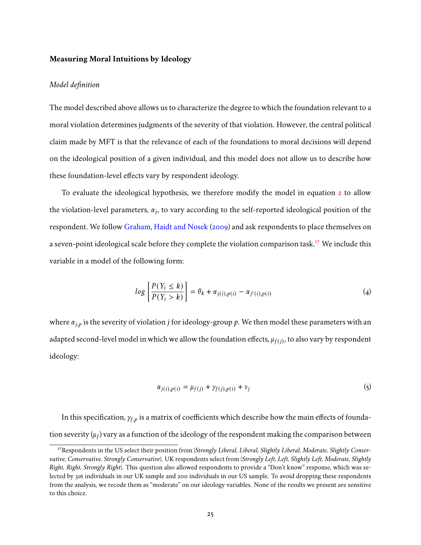## **Measuring Moral Intuitions by Ideology**

## *Model definition*

The model described above allows us to characterize the degree to which the foundation relevant to a moral violation determines judgments of the severity of that violation. However, the central political claim made by MFT is that the relevance of each of the foundations to moral decisions will depend on the ideological position of a given individual, and this model does not allow us to describe how these foundation-level effects vary by respondent ideology.

To evaluate the ideological hypothesis, we therefore modify the model in equation [2](#page-17-1) to allow the violation-level parameters,  $\alpha_j$ , to vary according to the self-reported ideological position of the respondent. We follow [Graham, Haidt and Nosek](#page-43-3) [\(2009\)](#page-43-3) and ask respondents to place themselves on a seven-point ideological scale before they complete the violation comparison task.[17](#page-24-0) We include this variable in a model of the following form:

<span id="page-24-2"></span>
$$
log\left[\frac{P(Y_i \le k)}{P(Y_i > k)}\right] = \theta_k + \alpha_{j(i),p(i)} - \alpha_{j'(i),p(i)}
$$
\n(4)

where  $\alpha_{i,p}$  is the severity of violation *j* for ideology-group p. We then model these parameters with an adapted second-level model in which we allow the foundation effects,  $\mu_{f(j)}$ , to also vary by respondent ideology:

<span id="page-24-1"></span>
$$
\alpha_{j(i),p(i)} = \mu_{f(j)} + \gamma_{f(j),p(i)} + \nu_j \tag{5}
$$

In this specification,  $\gamma_{f,p}$  is a matrix of coefficients which describe how the main effects of foundation severity ( $\mu_f$ ) vary as a function of the ideology of the respondent making the comparison between

<span id="page-24-0"></span><sup>17</sup>Respondents in the US select their position from {*Strongly Liberal, Liberal, Slightly Liberal, Moderate, Slightly Conservative, Conservative, Strongly Conservative*}. UK respondents select from {*Strongly Left, Left, Slightly Left, Moderate, Slightly Right, Right, Strongly Right*}. This question also allowed respondents to provide a "Don't know" response, which was selected by 316 individuals in our UK sample and 200 individuals in our US sample. To avoid dropping these respondents from the analysis, we recode them as "moderate" on our ideology variables. None of the results we present are sensitive to this choice.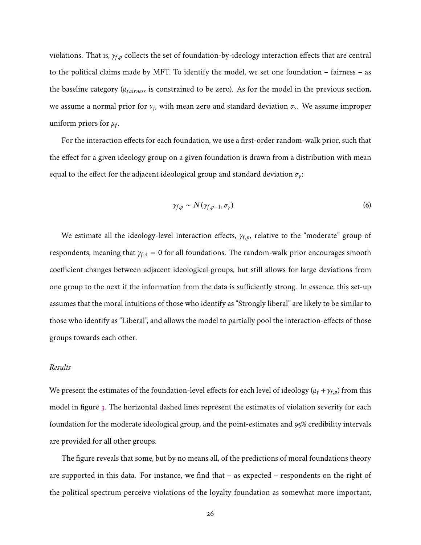violations. That is,  $\gamma_{f,p}$  collects the set of foundation-by-ideology interaction effects that are central to the political claims made by MFT. To identify the model, we set one foundation – fairness – as the baseline category ( $\mu_{fairness}$  is constrained to be zero). As for the model in the previous section, we assume a normal prior for  $v_j$ , with mean zero and standard deviation  $\sigma_v$ . We assume improper uniform priors for  $\mu_f$ .

For the interaction effects for each foundation, we use a first-order random-walk prior, such that the effect for a given ideology group on a given foundation is drawn from a distribution with mean equal to the effect for the adjacent ideological group and standard deviation  $\sigma_{\gamma}$ :

$$
\gamma_{f,p} \sim N(\gamma_{f,p-1}, \sigma_{\gamma})
$$
 (6)

We estimate all the ideology-level interaction effects,  $\gamma_{f,p}$ , relative to the "moderate" group of respondents, meaning that  $\gamma_{f,4} = 0$  for all foundations. The random-walk prior encourages smooth coefficient changes between adjacent ideological groups, but still allows for large deviations from one group to the next if the information from the data is sufficiently strong. In essence, this set-up assumes that the moral intuitions of those who identify as "Strongly liberal" are likely to be similar to those who identify as "Liberal", and allows the model to partially pool the interaction-effects of those groups towards each other.

## *Results*

We present the estimates of the foundation-level effects for each level of ideology ( $\mu_f + \gamma_{f,p}$ ) from this model in figure [3.](#page-26-0) The horizontal dashed lines represent the estimates of violation severity for each foundation for the moderate ideological group, and the point-estimates and 95% credibility intervals are provided for all other groups.

The figure reveals that some, but by no means all, of the predictions of moral foundations theory are supported in this data. For instance, we find that – as expected – respondents on the right of the political spectrum perceive violations of the loyalty foundation as somewhat more important,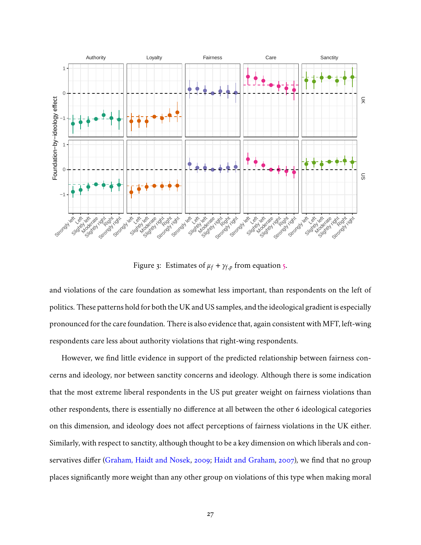

<span id="page-26-0"></span>Figure 3: Estimates of  $\mu_f + \gamma_{f,p}$  from equation [5.](#page-24-1)

and violations of the care foundation as somewhat less important, than respondents on the left of politics. These patterns hold for both the UK and US samples, and the ideological gradient is especially pronounced for the care foundation. There is also evidence that, again consistent with MFT, left-wing respondents care less about authority violations that right-wing respondents.

However, we find little evidence in support of the predicted relationship between fairness concerns and ideology, nor between sanctity concerns and ideology. Although there is some indication that the most extreme liberal respondents in the US put greater weight on fairness violations than other respondents, there is essentially no difference at all between the other 6 ideological categories on this dimension, and ideology does not affect perceptions of fairness violations in the UK either. Similarly, with respect to sanctity, although thought to be a key dimension on which liberals and conservatives differ [\(Graham, Haidt and Nosek,](#page-43-3) [2009;](#page-43-3) [Haidt and Graham,](#page-43-1) [2007\)](#page-43-1), we find that no group places significantly more weight than any other group on violations of this type when making moral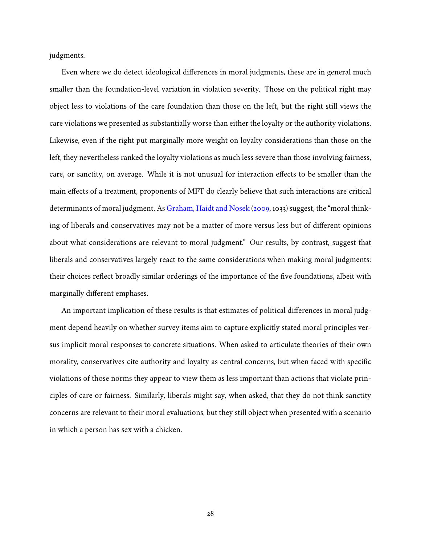judgments.

Even where we do detect ideological differences in moral judgments, these are in general much smaller than the foundation-level variation in violation severity. Those on the political right may object less to violations of the care foundation than those on the left, but the right still views the care violations we presented as substantially worse than either the loyalty or the authority violations. Likewise, even if the right put marginally more weight on loyalty considerations than those on the left, they nevertheless ranked the loyalty violations as much less severe than those involving fairness, care, or sanctity, on average. While it is not unusual for interaction effects to be smaller than the main effects of a treatment, proponents of MFT do clearly believe that such interactions are critical determinants of moral judgment. As [Graham, Haidt and Nosek](#page-43-3) [\(2009,](#page-43-3) 1033) suggest, the "moral thinking of liberals and conservatives may not be a matter of more versus less but of different opinions about what considerations are relevant to moral judgment." Our results, by contrast, suggest that liberals and conservatives largely react to the same considerations when making moral judgments: their choices reflect broadly similar orderings of the importance of the five foundations, albeit with marginally different emphases.

An important implication of these results is that estimates of political differences in moral judgment depend heavily on whether survey items aim to capture explicitly stated moral principles versus implicit moral responses to concrete situations. When asked to articulate theories of their own morality, conservatives cite authority and loyalty as central concerns, but when faced with specific violations of those norms they appear to view them as less important than actions that violate principles of care or fairness. Similarly, liberals might say, when asked, that they do not think sanctity concerns are relevant to their moral evaluations, but they still object when presented with a scenario in which a person has sex with a chicken.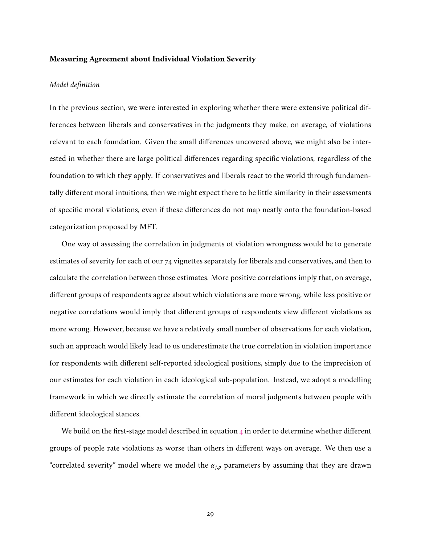## **Measuring Agreement about Individual Violation Severity**

## *Model definition*

In the previous section, we were interested in exploring whether there were extensive political differences between liberals and conservatives in the judgments they make, on average, of violations relevant to each foundation. Given the small differences uncovered above, we might also be interested in whether there are large political differences regarding specific violations, regardless of the foundation to which they apply. If conservatives and liberals react to the world through fundamentally different moral intuitions, then we might expect there to be little similarity in their assessments of specific moral violations, even if these differences do not map neatly onto the foundation-based categorization proposed by MFT.

One way of assessing the correlation in judgments of violation wrongness would be to generate estimates of severity for each of our 74 vignettes separately for liberals and conservatives, and then to calculate the correlation between those estimates. More positive correlations imply that, on average, different groups of respondents agree about which violations are more wrong, while less positive or negative correlations would imply that different groups of respondents view different violations as more wrong. However, because we have a relatively small number of observations for each violation, such an approach would likely lead to us underestimate the true correlation in violation importance for respondents with different self-reported ideological positions, simply due to the imprecision of our estimates for each violation in each ideological sub-population. Instead, we adopt a modelling framework in which we directly estimate the correlation of moral judgments between people with different ideological stances.

We build on the first-stage model described in equation  $4$  in order to determine whether different groups of people rate violations as worse than others in different ways on average. We then use a "correlated severity" model where we model the  $\alpha_{j,p}$  parameters by assuming that they are drawn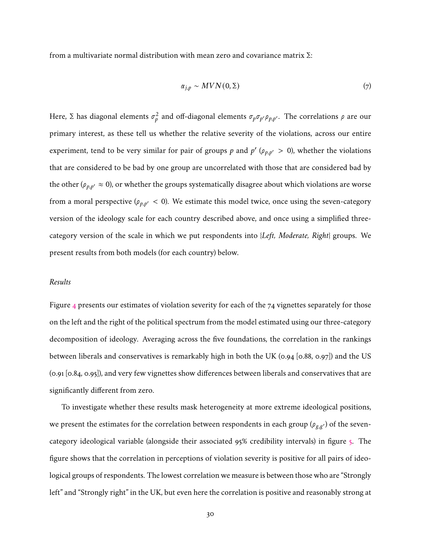from a multivariate normal distribution with mean zero and covariance matrix  $\Sigma$ :

$$
\alpha_{j,p} \sim MVN(0,\Sigma) \tag{7}
$$

Here, Σ has diagonal elements  $\sigma_p^2$  and off-diagonal elements  $\sigma_p\sigma_{p'}\rho_{p,p'}.$  The correlations  $\rho$  are our primary interest, as these tell us whether the relative severity of the violations, across our entire experiment, tend to be very similar for pair of groups p and  $p'$  ( $\rho_{p,p'} > 0$ ), whether the violations that are considered to be bad by one group are uncorrelated with those that are considered bad by the other ( $\rho_{p,p'} \approx 0$ ), or whether the groups systematically disagree about which violations are worse from a moral perspective ( $\rho_{p,p'} < 0$ ). We estimate this model twice, once using the seven-category version of the ideology scale for each country described above, and once using a simplified threecategory version of the scale in which we put respondents into {*Left, Moderate, Right*} groups. We present results from both models (for each country) below.

### *Results*

Figure [4](#page-30-0) presents our estimates of violation severity for each of the 74 vignettes separately for those on the left and the right of the political spectrum from the model estimated using our three-category decomposition of ideology. Averaging across the five foundations, the correlation in the rankings between liberals and conservatives is remarkably high in both the UK (0.94 [0.88, 0.97]) and the US (0.91 [0.84, 0.95]), and very few vignettes show differences between liberals and conservatives that are significantly different from zero.

To investigate whether these results mask heterogeneity at more extreme ideological positions, we present the estimates for the correlation between respondents in each group ( $\rho_{g,g'}$ ) of the sevencategory ideological variable (alongside their associated 95% credibility intervals) in figure [5.](#page-31-0) The figure shows that the correlation in perceptions of violation severity is positive for all pairs of ideological groups of respondents. The lowest correlation we measure is between those who are "Strongly left" and "Strongly right" in the UK, but even here the correlation is positive and reasonably strong at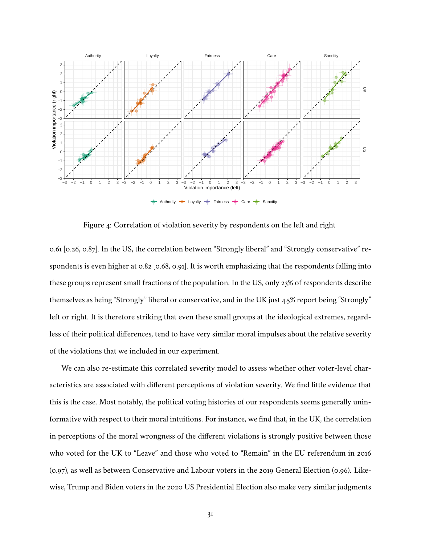

<span id="page-30-0"></span>Figure 4: Correlation of violation severity by respondents on the left and right

0.61 [0.26, 0.87]. In the US, the correlation between "Strongly liberal" and "Strongly conservative" respondents is even higher at 0.82 [0.68, 0.91]. It is worth emphasizing that the respondents falling into these groups represent small fractions of the population. In the US, only 23% of respondents describe themselves as being "Strongly" liberal or conservative, and in the UK just 4.5% report being "Strongly" left or right. It is therefore striking that even these small groups at the ideological extremes, regardless of their political differences, tend to have very similar moral impulses about the relative severity of the violations that we included in our experiment.

We can also re-estimate this correlated severity model to assess whether other voter-level characteristics are associated with different perceptions of violation severity. We find little evidence that this is the case. Most notably, the political voting histories of our respondents seems generally uninformative with respect to their moral intuitions. For instance, we find that, in the UK, the correlation in perceptions of the moral wrongness of the different violations is strongly positive between those who voted for the UK to "Leave" and those who voted to "Remain" in the EU referendum in 2016 (0.97), as well as between Conservative and Labour voters in the 2019 General Election (0.96). Likewise, Trump and Biden voters in the 2020 US Presidential Election also make very similar judgments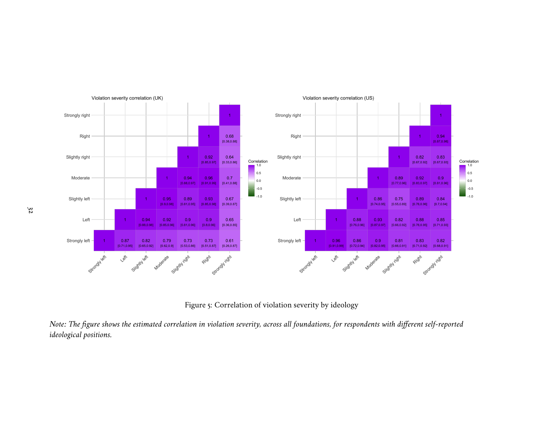<span id="page-31-0"></span>

Figure 5: Correlation of violation severity by ideology

Note: The figure shows the estimated correlation in violation severity, across all foundations, for respondents with different self-reported *ideological positions.*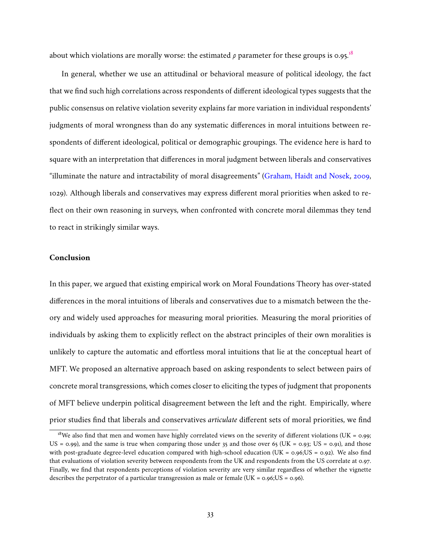about which violations are morally worse: the estimated  $\rho$  parameter for these groups is 0.95.<sup>[18](#page-32-0)</sup>

In general, whether we use an attitudinal or behavioral measure of political ideology, the fact that we find such high correlations across respondents of different ideological types suggests that the public consensus on relative violation severity explains far more variation in individual respondents' judgments of moral wrongness than do any systematic differences in moral intuitions between respondents of different ideological, political or demographic groupings. The evidence here is hard to square with an interpretation that differences in moral judgment between liberals and conservatives "illuminate the nature and intractability of moral disagreements" [\(Graham, Haidt and Nosek,](#page-43-3) [2009,](#page-43-3) 1029). Although liberals and conservatives may express different moral priorities when asked to reflect on their own reasoning in surveys, when confronted with concrete moral dilemmas they tend to react in strikingly similar ways.

## **Conclusion**

In this paper, we argued that existing empirical work on Moral Foundations Theory has over-stated differences in the moral intuitions of liberals and conservatives due to a mismatch between the theory and widely used approaches for measuring moral priorities. Measuring the moral priorities of individuals by asking them to explicitly reflect on the abstract principles of their own moralities is unlikely to capture the automatic and effortless moral intuitions that lie at the conceptual heart of MFT. We proposed an alternative approach based on asking respondents to select between pairs of concrete moral transgressions, which comes closer to eliciting the types of judgment that proponents of MFT believe underpin political disagreement between the left and the right. Empirically, where prior studies find that liberals and conservatives *articulate* different sets of moral priorities, we find

<span id="page-32-0"></span><sup>&</sup>lt;sup>18</sup>We also find that men and women have highly correlated views on the severity of different violations (UK = 0.99; US = 0.99), and the same is true when comparing those under 35 and those over 65 (UK = 0.93; US = 0.91), and those with post-graduate degree-level education compared with high-school education (UK =  $0.96$ ;US =  $0.92$ ). We also find that evaluations of violation severity between respondents from the UK and respondents from the US correlate at 0.97. Finally, we find that respondents perceptions of violation severity are very similar regardless of whether the vignette describes the perpetrator of a particular transgression as male or female (UK =  $0.96$ ; US =  $0.96$ ).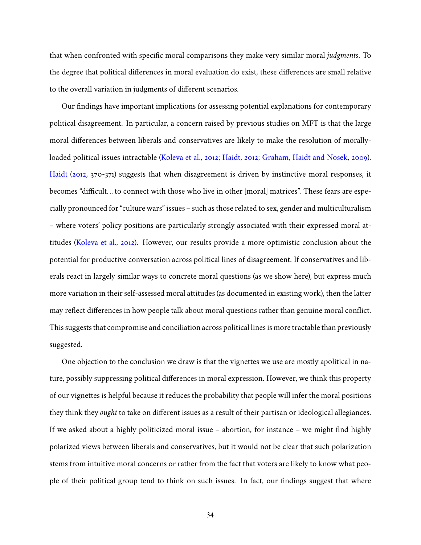that when confronted with specific moral comparisons they make very similar moral *judgments*. To the degree that political differences in moral evaluation do exist, these differences are small relative to the overall variation in judgments of different scenarios.

Our findings have important implications for assessing potential explanations for contemporary political disagreement. In particular, a concern raised by previous studies on MFT is that the large moral differences between liberals and conservatives are likely to make the resolution of morallyloaded political issues intractable [\(Koleva et al.,](#page-44-2) [2012;](#page-44-2) [Haidt,](#page-43-0) [2012;](#page-43-0) [Graham, Haidt and Nosek,](#page-43-3) [2009\)](#page-43-3). [Haidt](#page-43-0) [\(2012,](#page-43-0) 370-371) suggests that when disagreement is driven by instinctive moral responses, it becomes "difficult. . . to connect with those who live in other [moral] matrices". These fears are especially pronounced for "culture wars" issues – such as those related to sex, gender and multiculturalism – where voters' policy positions are particularly strongly associated with their expressed moral attitudes [\(Koleva et al.,](#page-44-2) [2012\)](#page-44-2). However, our results provide a more optimistic conclusion about the potential for productive conversation across political lines of disagreement. If conservatives and liberals react in largely similar ways to concrete moral questions (as we show here), but express much more variation in their self-assessed moral attitudes (as documented in existing work), then the latter may reflect differences in how people talk about moral questions rather than genuine moral conflict. This suggests that compromise and conciliation across political lines is more tractable than previously suggested.

One objection to the conclusion we draw is that the vignettes we use are mostly apolitical in nature, possibly suppressing political differences in moral expression. However, we think this property of our vignettes is helpful because it reduces the probability that people will infer the moral positions they think they *ought* to take on different issues as a result of their partisan or ideological allegiances. If we asked about a highly politicized moral issue – abortion, for instance – we might find highly polarized views between liberals and conservatives, but it would not be clear that such polarization stems from intuitive moral concerns or rather from the fact that voters are likely to know what people of their political group tend to think on such issues. In fact, our findings suggest that where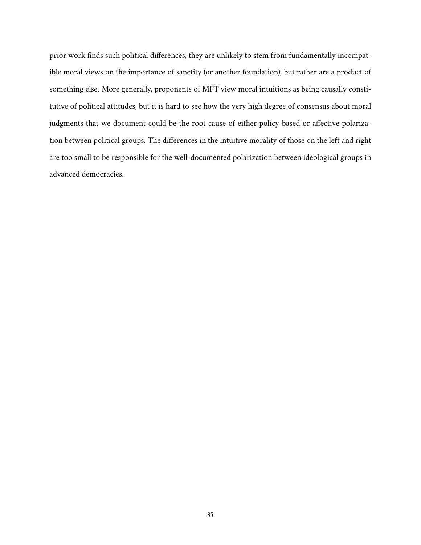prior work finds such political differences, they are unlikely to stem from fundamentally incompatible moral views on the importance of sanctity (or another foundation), but rather are a product of something else. More generally, proponents of MFT view moral intuitions as being causally constitutive of political attitudes, but it is hard to see how the very high degree of consensus about moral judgments that we document could be the root cause of either policy-based or affective polarization between political groups. The differences in the intuitive morality of those on the left and right are too small to be responsible for the well-documented polarization between ideological groups in advanced democracies.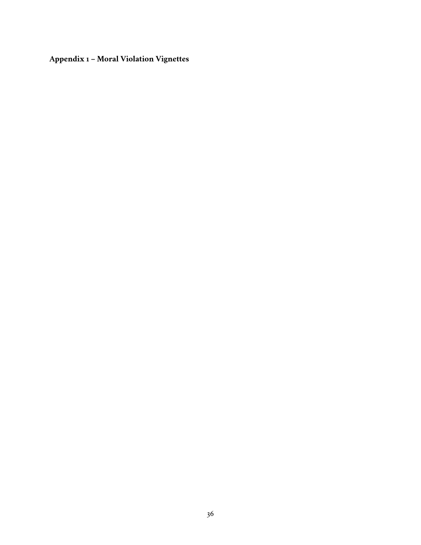**Appendix 1 – Moral Violation Vignettes**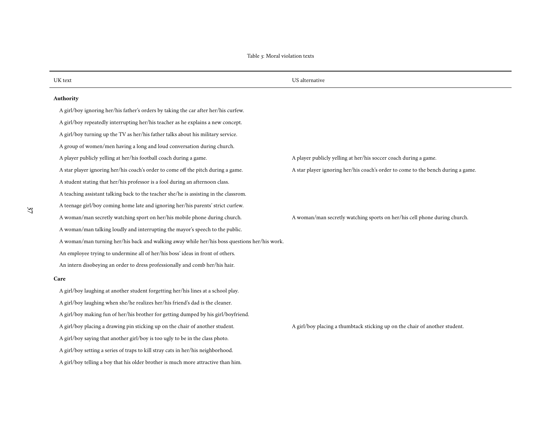| UK text                                                                                      | US alternative                                                                   |  |  |  |
|----------------------------------------------------------------------------------------------|----------------------------------------------------------------------------------|--|--|--|
| Authority                                                                                    |                                                                                  |  |  |  |
| A girl/boy ignoring her/his father's orders by taking the car after her/his curfew.          |                                                                                  |  |  |  |
| A girl/boy repeatedly interrupting her/his teacher as he explains a new concept.             |                                                                                  |  |  |  |
| A girl/boy turning up the TV as her/his father talks about his military service.             |                                                                                  |  |  |  |
| A group of women/men having a long and loud conversation during church.                      |                                                                                  |  |  |  |
| A player publicly yelling at her/his football coach during a game.                           | A player publicly yelling at her/his soccer coach during a game.                 |  |  |  |
| A star player ignoring her/his coach's order to come off the pitch during a game.            | A star player ignoring her/his coach's order to come to the bench during a game. |  |  |  |
| A student stating that her/his professor is a fool during an afternoon class.                |                                                                                  |  |  |  |
| A teaching assistant talking back to the teacher she/he is assisting in the classrom.        |                                                                                  |  |  |  |
| A teenage girl/boy coming home late and ignoring her/his parents' strict curfew.             |                                                                                  |  |  |  |
| A woman/man secretly watching sport on her/his mobile phone during church.                   | A woman/man secretly watching sports on her/his cell phone during church.        |  |  |  |
| A woman/man talking loudly and interrupting the mayor's speech to the public.                |                                                                                  |  |  |  |
| A woman/man turning her/his back and walking away while her/his boss questions her/his work. |                                                                                  |  |  |  |
| An employee trying to undermine all of her/his boss' ideas in front of others.               |                                                                                  |  |  |  |
| An intern disobeying an order to dress professionally and comb her/his hair.                 |                                                                                  |  |  |  |
| Care                                                                                         |                                                                                  |  |  |  |
| A girl/boy laughing at another student forgetting her/his lines at a school play.            |                                                                                  |  |  |  |
| A girl/boy laughing when she/he realizes her/his friend's dad is the cleaner.                |                                                                                  |  |  |  |
| A girl/boy making fun of her/his brother for getting dumped by his girl/boyfriend.           |                                                                                  |  |  |  |
| A girl/boy placing a drawing pin sticking up on the chair of another student.                | A girl/boy placing a thumbtack sticking up on the chair of another student.      |  |  |  |
| A girl/boy saying that another girl/boy is too ugly to be in the class photo.                |                                                                                  |  |  |  |
| A girl/boy setting a series of traps to kill stray cats in her/his neighborhood.             |                                                                                  |  |  |  |
| A girl/boy telling a boy that his older brother is much more attractive than him.            |                                                                                  |  |  |  |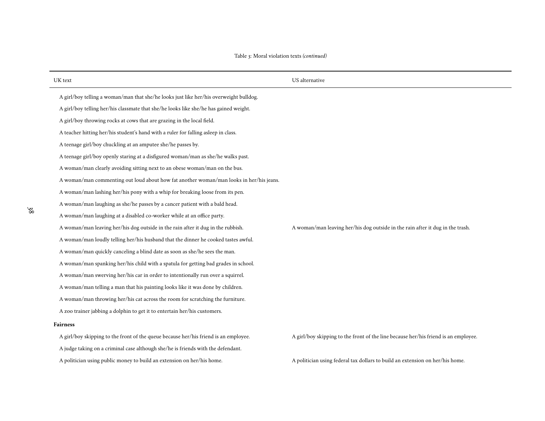| UK text                                                                                 | US alternative                                                                      |  |
|-----------------------------------------------------------------------------------------|-------------------------------------------------------------------------------------|--|
| A girl/boy telling a woman/man that she/he looks just like her/his overweight bulldog.  |                                                                                     |  |
| A girl/boy telling her/his classmate that she/he looks like she/he has gained weight.   |                                                                                     |  |
| A girl/boy throwing rocks at cows that are grazing in the local field.                  |                                                                                     |  |
| A teacher hitting her/his student's hand with a ruler for falling asleep in class.      |                                                                                     |  |
| A teenage girl/boy chuckling at an amputee she/he passes by.                            |                                                                                     |  |
| A teenage girl/boy openly staring at a disfigured woman/man as she/he walks past.       |                                                                                     |  |
| A woman/man clearly avoiding sitting next to an obese woman/man on the bus.             |                                                                                     |  |
| A woman/man commenting out loud about how fat another woman/man looks in her/his jeans. |                                                                                     |  |
| A woman/man lashing her/his pony with a whip for breaking loose from its pen.           |                                                                                     |  |
| A woman/man laughing as she/he passes by a cancer patient with a bald head.             |                                                                                     |  |
| A woman/man laughing at a disabled co-worker while at an office party.                  |                                                                                     |  |
| A woman/man leaving her/his dog outside in the rain after it dug in the rubbish.        | A woman/man leaving her/his dog outside in the rain after it dug in the trash.      |  |
| A woman/man loudly telling her/his husband that the dinner he cooked tastes awful.      |                                                                                     |  |
| A woman/man quickly canceling a blind date as soon as she/he sees the man.              |                                                                                     |  |
| A woman/man spanking her/his child with a spatula for getting bad grades in school.     |                                                                                     |  |
| A woman/man swerving her/his car in order to intentionally run over a squirrel.         |                                                                                     |  |
| A woman/man telling a man that his painting looks like it was done by children.         |                                                                                     |  |
| A woman/man throwing her/his cat across the room for scratching the furniture.          |                                                                                     |  |
| A zoo trainer jabbing a dolphin to get it to entertain her/his customers.               |                                                                                     |  |
| <b>Fairness</b>                                                                         |                                                                                     |  |
| A girl/boy skipping to the front of the queue because her/his friend is an employee.    | A girl/boy skipping to the front of the line because her/his friend is an employee. |  |
| A judge taking on a criminal case although she/he is friends with the defendant.        |                                                                                     |  |
| A politician using public money to build an extension on her/his home.                  | A politician using federal tax dollars to build an extension on her/his home.       |  |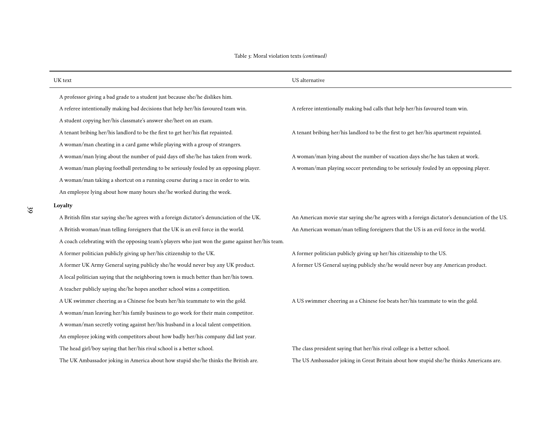| UK text                                                                                          | US alternative                                                                                |  |
|--------------------------------------------------------------------------------------------------|-----------------------------------------------------------------------------------------------|--|
| A professor giving a bad grade to a student just because she/he dislikes him.                    |                                                                                               |  |
| A referee intentionally making bad decisions that help her/his favoured team win.                | A referee intentionally making bad calls that help her/his favoured team win.                 |  |
| A student copying her/his classmate's answer she/heet on an exam.                                |                                                                                               |  |
| A tenant bribing her/his landlord to be the first to get her/his flat repainted.                 | A tenant bribing her/his landlord to be the first to get her/his apartment repainted.         |  |
| A woman/man cheating in a card game while playing with a group of strangers.                     |                                                                                               |  |
| A woman/man lying about the number of paid days off she/he has taken from work.                  | A woman/man lying about the number of vacation days she/he has taken at work.                 |  |
| A woman/man playing football pretending to be seriously fouled by an opposing player.            | A woman/man playing soccer pretending to be seriously fouled by an opposing player.           |  |
| A woman/man taking a shortcut on a running course during a race in order to win.                 |                                                                                               |  |
| An employee lying about how many hours she/he worked during the week.                            |                                                                                               |  |
| Loyalty                                                                                          |                                                                                               |  |
| A British film star saying she/he agrees with a foreign dictator's denunciation of the UK.       | An American movie star saying she/he agrees with a foreign dictator's denunciation of the US. |  |
| A British woman/man telling foreigners that the UK is an evil force in the world.                | An American woman/man telling foreigners that the US is an evil force in the world.           |  |
| A coach celebrating with the opposing team's players who just won the game against her/his team. |                                                                                               |  |
| A former politician publicly giving up her/his citizenship to the UK.                            | A former politician publicly giving up her/his citizenship to the US.                         |  |
| A former UK Army General saying publicly she/he would never buy any UK product.                  | A former US General saying publicly she/he would never buy any American product.              |  |
| A local politician saying that the neighboring town is much better than her/his town.            |                                                                                               |  |
| A teacher publicly saying she/he hopes another school wins a competition.                        |                                                                                               |  |
| A UK swimmer cheering as a Chinese foe beats her/his teammate to win the gold.                   | A US swimmer cheering as a Chinese foe beats her/his teammate to win the gold.                |  |
| A woman/man leaving her/his family business to go work for their main competitor.                |                                                                                               |  |
| A woman/man secretly voting against her/his husband in a local talent competition.               |                                                                                               |  |
| An employee joking with competitors about how badly her/his company did last year.               |                                                                                               |  |
| The head girl/boy saying that her/his rival school is a better school.                           | The class president saying that her/his rival college is a better school.                     |  |
| The UK Ambassador joking in America about how stupid she/he thinks the British are.              | The US Ambassador joking in Great Britain about how stupid she/he thinks Americans are.       |  |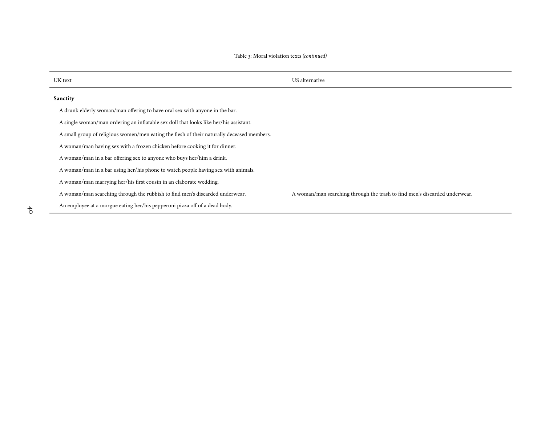| UK text                                                                                    | US alternative                                                             |
|--------------------------------------------------------------------------------------------|----------------------------------------------------------------------------|
| <b>Sanctity</b>                                                                            |                                                                            |
| A drunk elderly woman/man offering to have oral sex with anyone in the bar.                |                                                                            |
| A single woman/man ordering an inflatable sex doll that looks like her/his assistant.      |                                                                            |
| A small group of religious women/men eating the flesh of their naturally deceased members. |                                                                            |
| A woman/man having sex with a frozen chicken before cooking it for dinner.                 |                                                                            |
| A woman/man in a bar offering sex to anyone who buys her/him a drink.                      |                                                                            |
| A woman/man in a bar using her/his phone to watch people having sex with animals.          |                                                                            |
| A woman/man marrying her/his first cousin in an elaborate wedding.                         |                                                                            |
| A woman/man searching through the rubbish to find men's discarded underwear.               | A woman/man searching through the trash to find men's discarded underwear. |
| An employee at a morgue eating her/his pepperoni pizza off of a dead body.                 |                                                                            |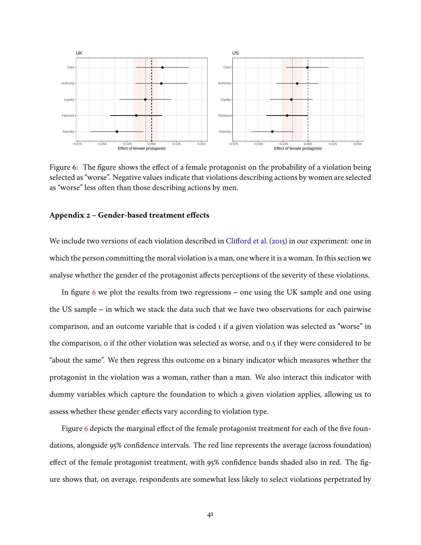

<span id="page-40-0"></span>Figure 6: The figure shows the effect of a female protagonist on the probability of a violation being selected as "worse". Negative values indicate that violations describing actions by women are selected as "worse" less often than those describing actions by men.

## **Appendix 2 – Gender-based treatment effects**

We include two versions of each violation described in [Clifford et al.](#page-42-3) [\(2015\)](#page-42-3) in our experiment: one in which the person committing the moral violation is a man, one where it is a woman. In this section we analyse whether the gender of the protagonist affects perceptions of the severity of these violations.

In figure [6](#page-40-0) we plot the results from two regressions – one using the UK sample and one using the US sample – in which we stack the data such that we have two observations for each pairwise comparison, and an outcome variable that is coded 1 if a given violation was selected as "worse" in the comparison, 0 if the other violation was selected as worse, and 0.5 if they were considered to be "about the same". We then regress this outcome on a binary indicator which measures whether the protagonist in the violation was a woman, rather than a man. We also interact this indicator with dummy variables which capture the foundation to which a given violation applies, allowing us to assess whether these gender effects vary according to violation type.

Figure [6](#page-40-0) depicts the marginal effect of the female protagonist treatment for each of the five foundations, alongside 95% confidence intervals. The red line represents the average (across foundation) effect of the female protagonist treatment, with 95% confidence bands shaded also in red. The figure shows that, on average, respondents are somewhat less likely to select violations perpetrated by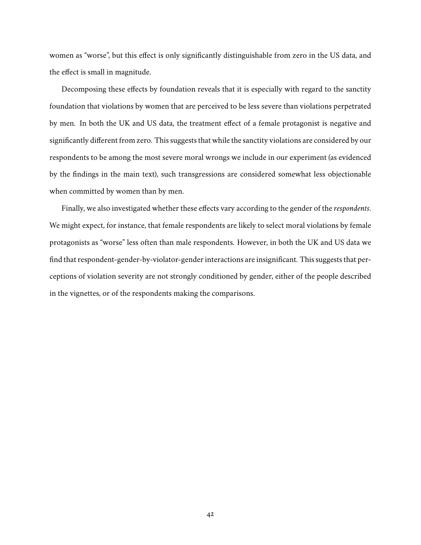women as "worse", but this effect is only significantly distinguishable from zero in the US data, and the effect is small in magnitude.

Decomposing these effects by foundation reveals that it is especially with regard to the sanctity foundation that violations by women that are perceived to be less severe than violations perpetrated by men. In both the UK and US data, the treatment effect of a female protagonist is negative and significantly different from zero. This suggests that while the sanctity violations are considered by our respondents to be among the most severe moral wrongs we include in our experiment (as evidenced by the findings in the main text), such transgressions are considered somewhat less objectionable when committed by women than by men.

Finally, we also investigated whether these effects vary according to the gender of the *respondents*. We might expect, for instance, that female respondents are likely to select moral violations by female protagonists as "worse" less often than male respondents. However, in both the UK and US data we find that respondent-gender-by-violator-gender interactions are insignificant. This suggests that perceptions of violation severity are not strongly conditioned by gender, either of the people described in the vignettes, or of the respondents making the comparisons.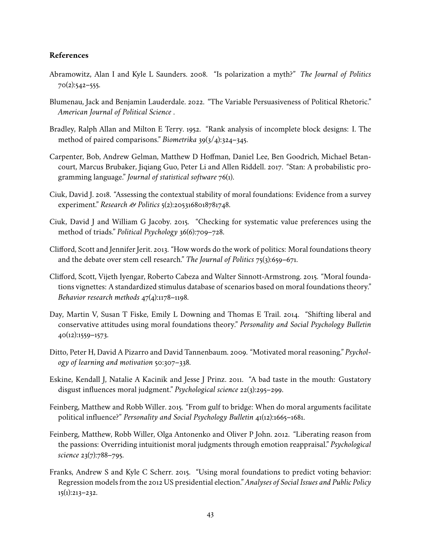## **References**

- <span id="page-42-0"></span>Abramowitz, Alan I and Kyle L Saunders. 2008. "Is polarization a myth?" *The Journal of Politics*  $70(2):542-555.$
- <span id="page-42-2"></span>Blumenau, Jack and Benjamin Lauderdale. 2022. "The Variable Persuasiveness of Political Rhetoric." *American Journal of Political Science* .
- <span id="page-42-12"></span>Bradley, Ralph Allan and Milton E Terry. 1952. "Rank analysis of incomplete block designs: I. The method of paired comparisons." *Biometrika* 39(3/4):324–345.
- <span id="page-42-13"></span>Carpenter, Bob, Andrew Gelman, Matthew D Hoffman, Daniel Lee, Ben Goodrich, Michael Betancourt, Marcus Brubaker, Jiqiang Guo, Peter Li and Allen Riddell. 2017. "Stan: A probabilistic programming language." *Journal of statistical software* 76(1).
- <span id="page-42-8"></span>Ciuk, David J. 2018. "Assessing the contextual stability of moral foundations: Evidence from a survey experiment." *Research & Politics* 5(2):2053168018781748.
- <span id="page-42-9"></span>Ciuk, David J and William G Jacoby. 2015. "Checking for systematic value preferences using the method of triads." *Political Psychology* 36(6):709–728.
- <span id="page-42-5"></span>Clifford, Scott and Jennifer Jerit. 2013. "How words do the work of politics: Moral foundations theory and the debate over stem cell research." *The Journal of Politics* 75(3):659–671.
- <span id="page-42-3"></span>Clifford, Scott, Vijeth Iyengar, Roberto Cabeza and Walter Sinnott-Armstrong. 2015. "Moral foundations vignettes: A standardized stimulus database of scenarios based on moral foundations theory." *Behavior research methods* 47(4):1178–1198.
- <span id="page-42-6"></span>Day, Martin V, Susan T Fiske, Emily L Downing and Thomas E Trail. 2014. "Shifting liberal and conservative attitudes using moral foundations theory." *Personality and Social Psychology Bulletin*  $40(12):1559-1573.$
- <span id="page-42-1"></span>Ditto, Peter H, David A Pizarro and David Tannenbaum. 2009. "Motivated moral reasoning." *Psychology of learning and motivation* 50:307–338.
- <span id="page-42-10"></span>Eskine, Kendall J, Natalie A Kacinik and Jesse J Prinz. 2011. "A bad taste in the mouth: Gustatory disgust influences moral judgment." *Psychological science* 22(3):295–299.
- <span id="page-42-4"></span>Feinberg, Matthew and Robb Willer. 2015. "From gulf to bridge: When do moral arguments facilitate political influence?" *Personality and Social Psychology Bulletin* 41(12):1665–1681.
- <span id="page-42-11"></span>Feinberg, Matthew, Robb Willer, Olga Antonenko and Oliver P John. 2012. "Liberating reason from the passions: Overriding intuitionist moral judgments through emotion reappraisal." *Psychological science* 23(7):788–795.
- <span id="page-42-7"></span>Franks, Andrew S and Kyle C Scherr. 2015. "Using moral foundations to predict voting behavior: Regression models from the 2012 US presidential election." *Analyses of Social Issues and Public Policy* 15(1):213–232.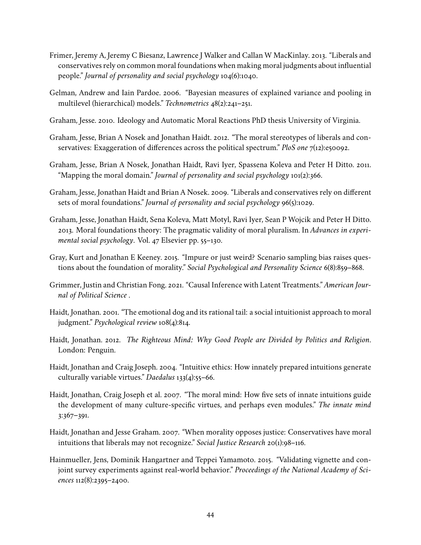- <span id="page-43-10"></span>Frimer, Jeremy A, Jeremy C Biesanz, Lawrence J Walker and Callan W MacKinlay. 2013. "Liberals and conservatives rely on common moral foundations when making moral judgments about influential people." *Journal of personality and social psychology* 104(6):1040.
- <span id="page-43-14"></span>Gelman, Andrew and Iain Pardoe. 2006. "Bayesian measures of explained variance and pooling in multilevel (hierarchical) models." *Technometrics* 48(2):241–251.
- <span id="page-43-13"></span>Graham, Jesse. 2010. Ideology and Automatic Moral Reactions PhD thesis University of Virginia.
- <span id="page-43-9"></span>Graham, Jesse, Brian A Nosek and Jonathan Haidt. 2012. "The moral stereotypes of liberals and conservatives: Exaggeration of differences across the political spectrum." *PloS one* 7(12):e50092.
- <span id="page-43-4"></span>Graham, Jesse, Brian A Nosek, Jonathan Haidt, Ravi Iyer, Spassena Koleva and Peter H Ditto. 2011. "Mapping the moral domain." *Journal of personality and social psychology* 101(2):366.
- <span id="page-43-3"></span>Graham, Jesse, Jonathan Haidt and Brian A Nosek. 2009. "Liberals and conservatives rely on different sets of moral foundations." *Journal of personality and social psychology* 96(5):1029.
- <span id="page-43-2"></span>Graham, Jesse, Jonathan Haidt, Sena Koleva, Matt Motyl, Ravi Iyer, Sean P Wojcik and Peter H Ditto. 2013. Moral foundations theory: The pragmatic validity of moral pluralism. In *Advances in experimental social psychology*. Vol. 47 Elsevier pp. 55–130.
- <span id="page-43-12"></span>Gray, Kurt and Jonathan E Keeney. 2015. "Impure or just weird? Scenario sampling bias raises questions about the foundation of morality." *Social Psychological and Personality Science* 6(8):859–868.
- <span id="page-43-6"></span>Grimmer, Justin and Christian Fong. 2021. "Causal Inference with Latent Treatments." *American Journal of Political Science* .
- <span id="page-43-5"></span>Haidt, Jonathan. 2001. "The emotional dog and its rational tail: a social intuitionist approach to moral judgment." *Psychological review* 108(4):814.
- <span id="page-43-0"></span>Haidt, Jonathan. 2012. *The Righteous Mind: Why Good People are Divided by Politics and Religion*. London: Penguin.
- <span id="page-43-7"></span>Haidt, Jonathan and Craig Joseph. 2004. "Intuitive ethics: How innately prepared intuitions generate culturally variable virtues." *Daedalus* 133(4):55–66.
- <span id="page-43-8"></span>Haidt, Jonathan, Craig Joseph et al. 2007. "The moral mind: How five sets of innate intuitions guide the development of many culture-specific virtues, and perhaps even modules." *The innate mind* 3:367–391.
- <span id="page-43-1"></span>Haidt, Jonathan and Jesse Graham. 2007. "When morality opposes justice: Conservatives have moral intuitions that liberals may not recognize." *Social Justice Research* 20(1):98–116.
- <span id="page-43-11"></span>Hainmueller, Jens, Dominik Hangartner and Teppei Yamamoto. 2015. "Validating vignette and conjoint survey experiments against real-world behavior." *Proceedings of the National Academy of Sciences* 112(8):2395–2400.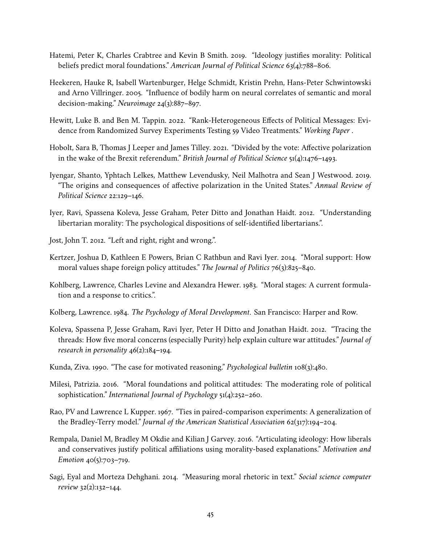- <span id="page-44-5"></span>Hatemi, Peter K, Charles Crabtree and Kevin B Smith. 2019. "Ideology justifies morality: Political beliefs predict moral foundations." *American Journal of Political Science* 63(4):788–806.
- <span id="page-44-15"></span>Heekeren, Hauke R, Isabell Wartenburger, Helge Schmidt, Kristin Prehn, Hans-Peter Schwintowski and Arno Villringer. 2005. "Influence of bodily harm on neural correlates of semantic and moral decision-making." *Neuroimage* 24(3):887–897.
- <span id="page-44-13"></span>Hewitt, Luke B. and Ben M. Tappin. 2022. "Rank-Heterogeneous Effects of Political Messages: Evidence from Randomized Survey Experiments Testing 59 Video Treatments." *Working Paper* .
- <span id="page-44-1"></span>Hobolt, Sara B, Thomas J Leeper and James Tilley. 2021. "Divided by the vote: Affective polarization in the wake of the Brexit referendum." *British Journal of Political Science* 51(4):1476–1493.
- <span id="page-44-0"></span>Iyengar, Shanto, Yphtach Lelkes, Matthew Levendusky, Neil Malhotra and Sean J Westwood. 2019. "The origins and consequences of affective polarization in the United States." *Annual Review of Political Science* 22:129–146.
- <span id="page-44-9"></span>Iyer, Ravi, Spassena Koleva, Jesse Graham, Peter Ditto and Jonathan Haidt. 2012. "Understanding libertarian morality: The psychological dispositions of self-identified libertarians.".
- <span id="page-44-4"></span>Jost, John T. 2012. "Left and right, right and wrong.".
- <span id="page-44-3"></span>Kertzer, Joshua D, Kathleen E Powers, Brian C Rathbun and Ravi Iyer. 2014. "Moral support: How moral values shape foreign policy attitudes." *The Journal of Politics* 76(3):825–840.
- <span id="page-44-6"></span>Kohlberg, Lawrence, Charles Levine and Alexandra Hewer. 1983. "Moral stages: A current formulation and a response to critics.".
- <span id="page-44-7"></span>Kolberg, Lawrence. 1984. *The Psychology of Moral Development*. San Francisco: Harper and Row.
- <span id="page-44-2"></span>Koleva, Spassena P, Jesse Graham, Ravi Iyer, Peter H Ditto and Jonathan Haidt. 2012. "Tracing the threads: How five moral concerns (especially Purity) help explain culture war attitudes." *Journal of research in personality* 46(2):184–194.
- <span id="page-44-8"></span>Kunda, Ziva. 1990. "The case for motivated reasoning." *Psychological bulletin* 108(3):480.
- <span id="page-44-12"></span>Milesi, Patrizia. 2016. "Moral foundations and political attitudes: The moderating role of political sophistication." *International Journal of Psychology* 51(4):252–260.
- <span id="page-44-14"></span>Rao, PV and Lawrence L Kupper. 1967. "Ties in paired-comparison experiments: A generalization of the Bradley-Terry model." *Journal of the American Statistical Association* 62(317):194–204.
- <span id="page-44-10"></span>Rempala, Daniel M, Bradley M Okdie and Kilian J Garvey. 2016. "Articulating ideology: How liberals and conservatives justify political affiliations using morality-based explanations." *Motivation and Emotion* 40(5):703-719.
- <span id="page-44-11"></span>Sagi, Eyal and Morteza Dehghani. 2014. "Measuring moral rhetoric in text." *Social science computer review* 32(2):132–144.